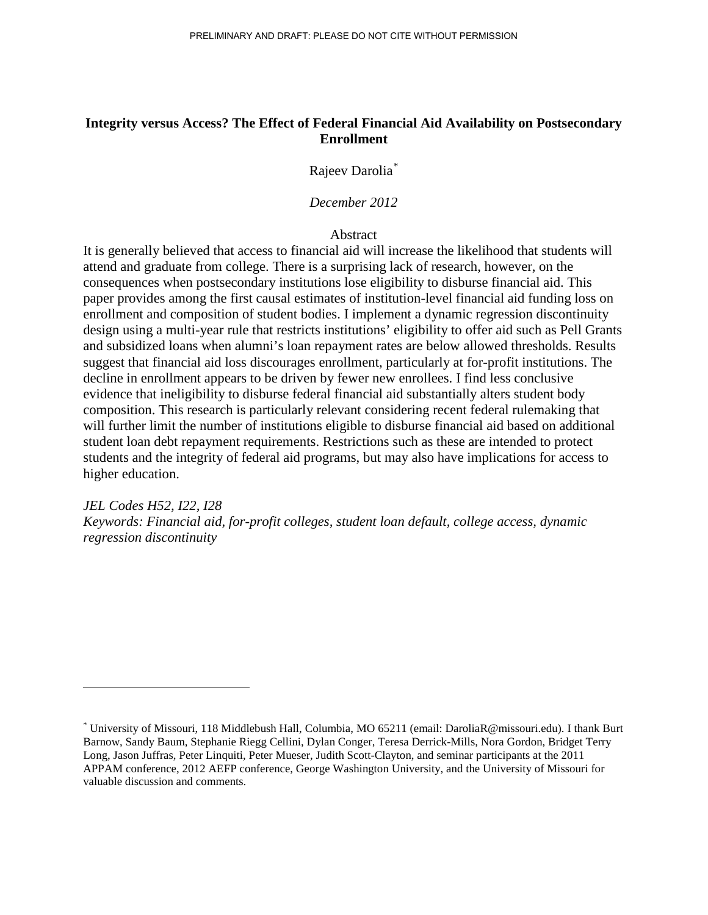# **Integrity versus Access? The Effect of Federal Financial Aid Availability on Postsecondary Enrollment**

Rajeev Darolia[\\*](#page-0-0)

*December 2012*

**Abstract** 

It is generally believed that access to financial aid will increase the likelihood that students will attend and graduate from college. There is a surprising lack of research, however, on the consequences when postsecondary institutions lose eligibility to disburse financial aid. This paper provides among the first causal estimates of institution-level financial aid funding loss on enrollment and composition of student bodies. I implement a dynamic regression discontinuity design using a multi-year rule that restricts institutions' eligibility to offer aid such as Pell Grants and subsidized loans when alumni's loan repayment rates are below allowed thresholds. Results suggest that financial aid loss discourages enrollment, particularly at for-profit institutions. The decline in enrollment appears to be driven by fewer new enrollees. I find less conclusive evidence that ineligibility to disburse federal financial aid substantially alters student body composition. This research is particularly relevant considering recent federal rulemaking that will further limit the number of institutions eligible to disburse financial aid based on additional student loan debt repayment requirements. Restrictions such as these are intended to protect students and the integrity of federal aid programs, but may also have implications for access to higher education.

*JEL Codes H52, I22, I28 Keywords: Financial aid, for-profit colleges, student loan default, college access, dynamic regression discontinuity* 

<span id="page-0-0"></span><sup>\*</sup> University of Missouri, 118 Middlebush Hall, Columbia, MO 65211 (email: DaroliaR@missouri.edu). I thank Burt Barnow, Sandy Baum, Stephanie Riegg Cellini, Dylan Conger, Teresa Derrick-Mills, Nora Gordon, Bridget Terry Long, Jason Juffras, Peter Linquiti, Peter Mueser, Judith Scott-Clayton, and seminar participants at the 2011 APPAM conference, 2012 AEFP conference, George Washington University, and the University of Missouri for valuable discussion and comments.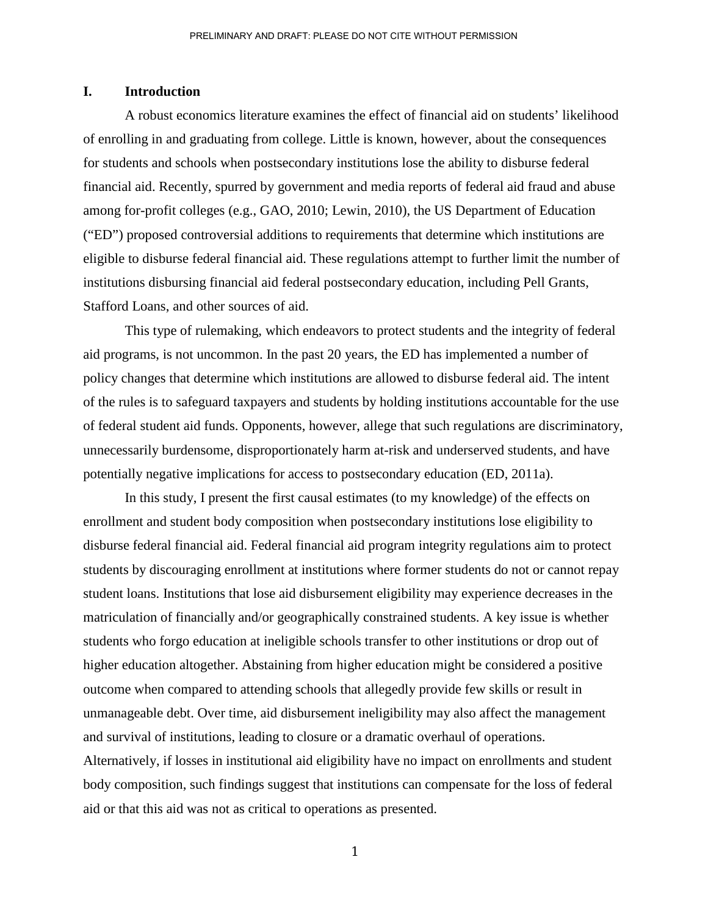### **I. Introduction**

A robust economics literature examines the effect of financial aid on students' likelihood of enrolling in and graduating from college. Little is known, however, about the consequences for students and schools when postsecondary institutions lose the ability to disburse federal financial aid. Recently, spurred by government and media reports of federal aid fraud and abuse among for-profit colleges (e.g., GAO, 2010; Lewin, 2010), the US Department of Education ("ED") proposed controversial additions to requirements that determine which institutions are eligible to disburse federal financial aid. These regulations attempt to further limit the number of institutions disbursing financial aid federal postsecondary education, including Pell Grants, Stafford Loans, and other sources of aid.

This type of rulemaking, which endeavors to protect students and the integrity of federal aid programs, is not uncommon. In the past 20 years, the ED has implemented a number of policy changes that determine which institutions are allowed to disburse federal aid. The intent of the rules is to safeguard taxpayers and students by holding institutions accountable for the use of federal student aid funds. Opponents, however, allege that such regulations are discriminatory, unnecessarily burdensome, disproportionately harm at-risk and underserved students, and have potentially negative implications for access to postsecondary education (ED, 2011a).

In this study, I present the first causal estimates (to my knowledge) of the effects on enrollment and student body composition when postsecondary institutions lose eligibility to disburse federal financial aid. Federal financial aid program integrity regulations aim to protect students by discouraging enrollment at institutions where former students do not or cannot repay student loans. Institutions that lose aid disbursement eligibility may experience decreases in the matriculation of financially and/or geographically constrained students. A key issue is whether students who forgo education at ineligible schools transfer to other institutions or drop out of higher education altogether. Abstaining from higher education might be considered a positive outcome when compared to attending schools that allegedly provide few skills or result in unmanageable debt. Over time, aid disbursement ineligibility may also affect the management and survival of institutions, leading to closure or a dramatic overhaul of operations. Alternatively, if losses in institutional aid eligibility have no impact on enrollments and student body composition, such findings suggest that institutions can compensate for the loss of federal aid or that this aid was not as critical to operations as presented.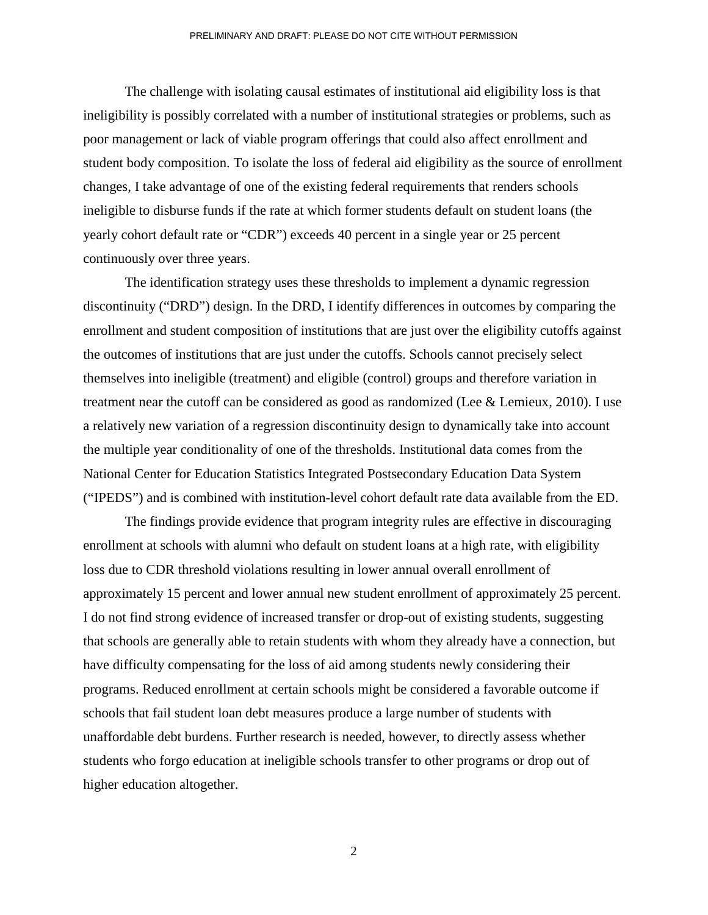The challenge with isolating causal estimates of institutional aid eligibility loss is that ineligibility is possibly correlated with a number of institutional strategies or problems, such as poor management or lack of viable program offerings that could also affect enrollment and student body composition. To isolate the loss of federal aid eligibility as the source of enrollment changes, I take advantage of one of the existing federal requirements that renders schools ineligible to disburse funds if the rate at which former students default on student loans (the yearly cohort default rate or "CDR") exceeds 40 percent in a single year or 25 percent continuously over three years.

The identification strategy uses these thresholds to implement a dynamic regression discontinuity ("DRD") design. In the DRD, I identify differences in outcomes by comparing the enrollment and student composition of institutions that are just over the eligibility cutoffs against the outcomes of institutions that are just under the cutoffs. Schools cannot precisely select themselves into ineligible (treatment) and eligible (control) groups and therefore variation in treatment near the cutoff can be considered as good as randomized (Lee & Lemieux, 2010). I use a relatively new variation of a regression discontinuity design to dynamically take into account the multiple year conditionality of one of the thresholds. Institutional data comes from the National Center for Education Statistics Integrated Postsecondary Education Data System ("IPEDS") and is combined with institution-level cohort default rate data available from the ED.

The findings provide evidence that program integrity rules are effective in discouraging enrollment at schools with alumni who default on student loans at a high rate, with eligibility loss due to CDR threshold violations resulting in lower annual overall enrollment of approximately 15 percent and lower annual new student enrollment of approximately 25 percent. I do not find strong evidence of increased transfer or drop-out of existing students, suggesting that schools are generally able to retain students with whom they already have a connection, but have difficulty compensating for the loss of aid among students newly considering their programs. Reduced enrollment at certain schools might be considered a favorable outcome if schools that fail student loan debt measures produce a large number of students with unaffordable debt burdens. Further research is needed, however, to directly assess whether students who forgo education at ineligible schools transfer to other programs or drop out of higher education altogether.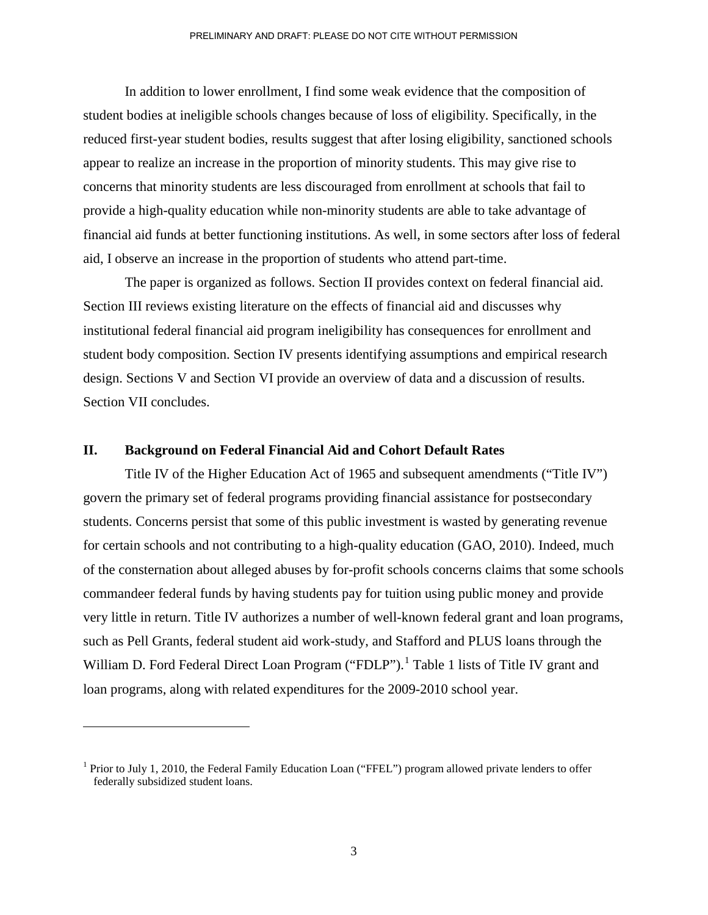In addition to lower enrollment, I find some weak evidence that the composition of student bodies at ineligible schools changes because of loss of eligibility. Specifically, in the reduced first-year student bodies, results suggest that after losing eligibility, sanctioned schools appear to realize an increase in the proportion of minority students. This may give rise to concerns that minority students are less discouraged from enrollment at schools that fail to provide a high-quality education while non-minority students are able to take advantage of financial aid funds at better functioning institutions. As well, in some sectors after loss of federal aid, I observe an increase in the proportion of students who attend part-time.

The paper is organized as follows. Section II provides context on federal financial aid. Section III reviews existing literature on the effects of financial aid and discusses why institutional federal financial aid program ineligibility has consequences for enrollment and student body composition. Section IV presents identifying assumptions and empirical research design. Sections V and Section VI provide an overview of data and a discussion of results. Section VII concludes.

### **II. Background on Federal Financial Aid and Cohort Default Rates**

Title IV of the Higher Education Act of 1965 and subsequent amendments ("Title IV") govern the primary set of federal programs providing financial assistance for postsecondary students. Concerns persist that some of this public investment is wasted by generating revenue for certain schools and not contributing to a high-quality education (GAO, 2010). Indeed, much of the consternation about alleged abuses by for-profit schools concerns claims that some schools commandeer federal funds by having students pay for tuition using public money and provide very little in return. Title IV authorizes a number of well-known federal grant and loan programs, such as Pell Grants, federal student aid work-study, and Stafford and PLUS loans through the William D. Ford Federal Direct Loan Program ("FDLP").<sup>[1](#page-3-0)</sup> Table 1 lists of Title IV grant and loan programs, along with related expenditures for the 2009-2010 school year.

<span id="page-3-0"></span><sup>&</sup>lt;sup>1</sup> Prior to July 1, 2010, the Federal Family Education Loan ("FFEL") program allowed private lenders to offer federally subsidized student loans.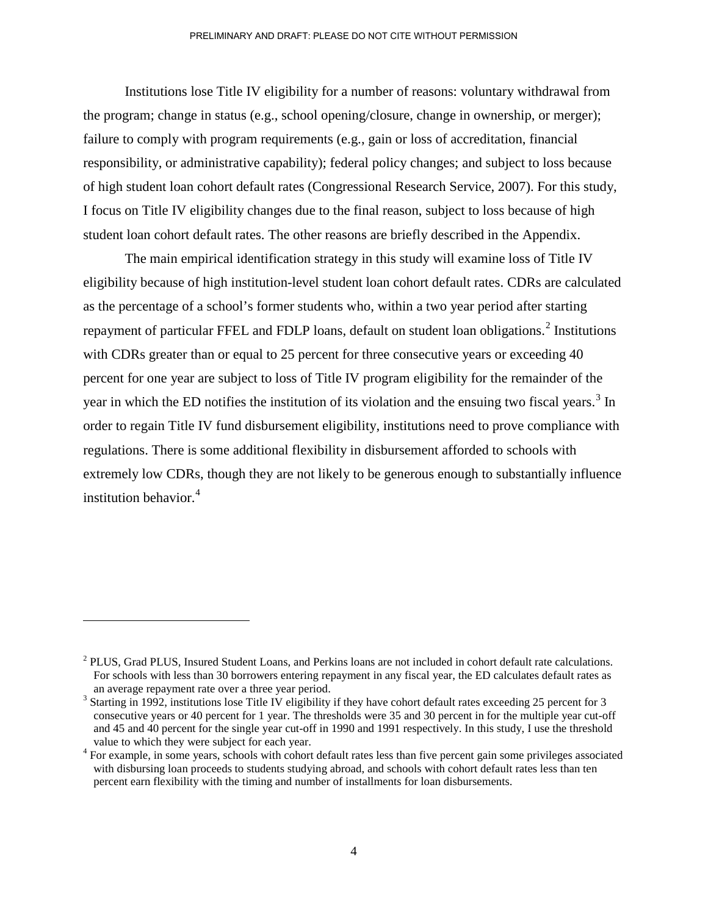Institutions lose Title IV eligibility for a number of reasons: voluntary withdrawal from the program; change in status (e.g., school opening/closure, change in ownership, or merger); failure to comply with program requirements (e.g., gain or loss of accreditation, financial responsibility, or administrative capability); federal policy changes; and subject to loss because of high student loan cohort default rates (Congressional Research Service, 2007). For this study, I focus on Title IV eligibility changes due to the final reason, subject to loss because of high student loan cohort default rates. The other reasons are briefly described in the Appendix.

The main empirical identification strategy in this study will examine loss of Title IV eligibility because of high institution-level student loan cohort default rates. CDRs are calculated as the percentage of a school's former students who, within a two year period after starting repayment of particular FFEL and FDLP loans, default on student loan obligations.<sup>[2](#page-4-0)</sup> Institutions with CDRs greater than or equal to 25 percent for three consecutive years or exceeding 40 percent for one year are subject to loss of Title IV program eligibility for the remainder of the year in which the ED notifies the institution of its violation and the ensuing two fiscal years.<sup>[3](#page-4-1)</sup> In order to regain Title IV fund disbursement eligibility, institutions need to prove compliance with regulations. There is some additional flexibility in disbursement afforded to schools with extremely low CDRs, though they are not likely to be generous enough to substantially influence institution behavior. $4$ 

 $\overline{a}$ 

<span id="page-4-0"></span><sup>&</sup>lt;sup>2</sup> PLUS, Grad PLUS, Insured Student Loans, and Perkins loans are not included in cohort default rate calculations. For schools with less than 30 borrowers entering repayment in any fiscal year, the ED calculates default rates as an average repayment rate over a three year period.<br><sup>3</sup> Starting in 1992, institutions lose Title IV eligibility if they have cohort default rates exceeding 25 percent for 3

<span id="page-4-1"></span>consecutive years or 40 percent for 1 year. The thresholds were 35 and 30 percent in for the multiple year cut-off and 45 and 40 percent for the single year cut-off in 1990 and 1991 respectively. In this study, I use the threshold value to which they were subject for each year.<br><sup>4</sup> For example, in some years, schools with cohort default rates less than five percent gain some privileges associated

<span id="page-4-2"></span>with disbursing loan proceeds to students studying abroad, and schools with cohort default rates less than ten percent earn flexibility with the timing and number of installments for loan disbursements.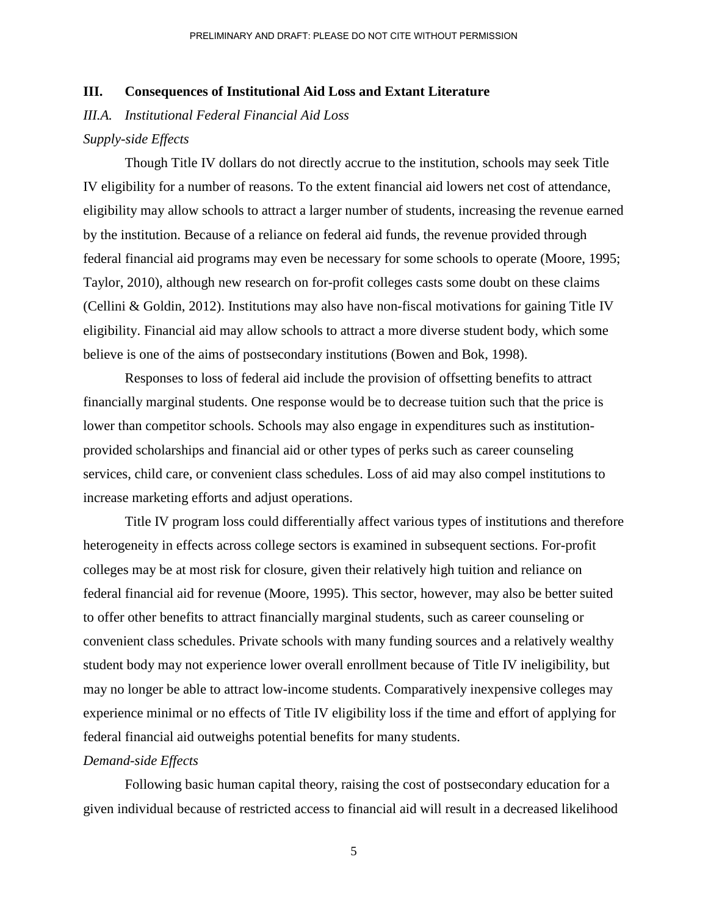### **III. Consequences of Institutional Aid Loss and Extant Literature**

*III.A. Institutional Federal Financial Aid Loss* 

### *Supply-side Effects*

Though Title IV dollars do not directly accrue to the institution, schools may seek Title IV eligibility for a number of reasons. To the extent financial aid lowers net cost of attendance, eligibility may allow schools to attract a larger number of students, increasing the revenue earned by the institution. Because of a reliance on federal aid funds, the revenue provided through federal financial aid programs may even be necessary for some schools to operate (Moore, 1995; Taylor, 2010), although new research on for-profit colleges casts some doubt on these claims (Cellini & Goldin, 2012). Institutions may also have non-fiscal motivations for gaining Title IV eligibility. Financial aid may allow schools to attract a more diverse student body, which some believe is one of the aims of postsecondary institutions (Bowen and Bok, 1998).

Responses to loss of federal aid include the provision of offsetting benefits to attract financially marginal students. One response would be to decrease tuition such that the price is lower than competitor schools. Schools may also engage in expenditures such as institutionprovided scholarships and financial aid or other types of perks such as career counseling services, child care, or convenient class schedules. Loss of aid may also compel institutions to increase marketing efforts and adjust operations.

Title IV program loss could differentially affect various types of institutions and therefore heterogeneity in effects across college sectors is examined in subsequent sections. For-profit colleges may be at most risk for closure, given their relatively high tuition and reliance on federal financial aid for revenue (Moore, 1995). This sector, however, may also be better suited to offer other benefits to attract financially marginal students, such as career counseling or convenient class schedules. Private schools with many funding sources and a relatively wealthy student body may not experience lower overall enrollment because of Title IV ineligibility, but may no longer be able to attract low-income students. Comparatively inexpensive colleges may experience minimal or no effects of Title IV eligibility loss if the time and effort of applying for federal financial aid outweighs potential benefits for many students.

### *Demand-side Effects*

Following basic human capital theory, raising the cost of postsecondary education for a given individual because of restricted access to financial aid will result in a decreased likelihood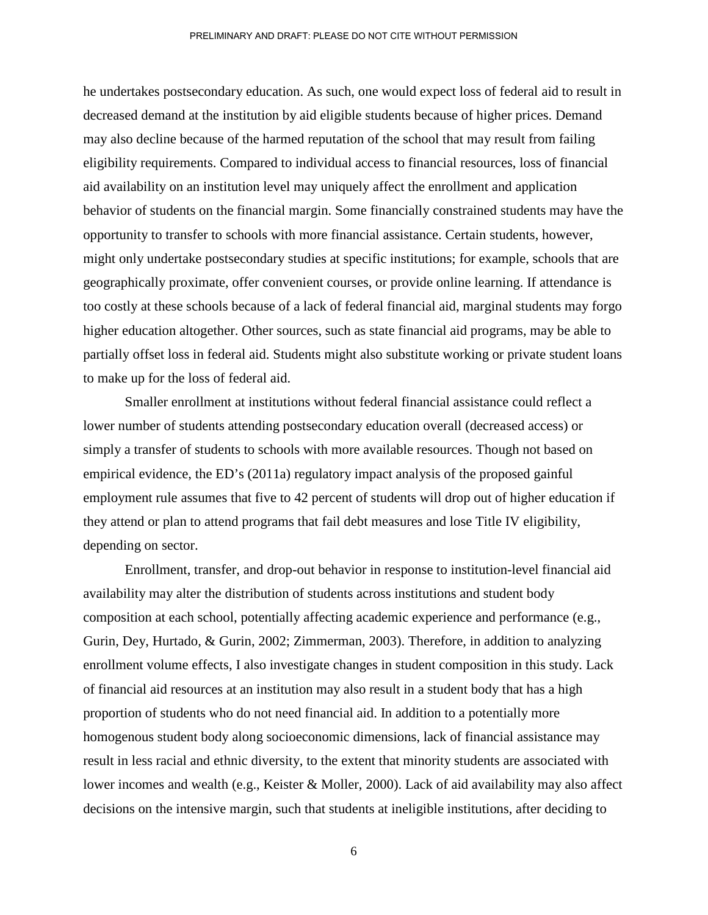he undertakes postsecondary education. As such, one would expect loss of federal aid to result in decreased demand at the institution by aid eligible students because of higher prices. Demand may also decline because of the harmed reputation of the school that may result from failing eligibility requirements. Compared to individual access to financial resources, loss of financial aid availability on an institution level may uniquely affect the enrollment and application behavior of students on the financial margin. Some financially constrained students may have the opportunity to transfer to schools with more financial assistance. Certain students, however, might only undertake postsecondary studies at specific institutions; for example, schools that are geographically proximate, offer convenient courses, or provide online learning. If attendance is too costly at these schools because of a lack of federal financial aid, marginal students may forgo higher education altogether. Other sources, such as state financial aid programs, may be able to partially offset loss in federal aid. Students might also substitute working or private student loans to make up for the loss of federal aid.

Smaller enrollment at institutions without federal financial assistance could reflect a lower number of students attending postsecondary education overall (decreased access) or simply a transfer of students to schools with more available resources. Though not based on empirical evidence, the ED's (2011a) regulatory impact analysis of the proposed gainful employment rule assumes that five to 42 percent of students will drop out of higher education if they attend or plan to attend programs that fail debt measures and lose Title IV eligibility, depending on sector.

Enrollment, transfer, and drop-out behavior in response to institution-level financial aid availability may alter the distribution of students across institutions and student body composition at each school, potentially affecting academic experience and performance (e.g., Gurin, Dey, Hurtado, & Gurin, 2002; Zimmerman, 2003). Therefore, in addition to analyzing enrollment volume effects, I also investigate changes in student composition in this study. Lack of financial aid resources at an institution may also result in a student body that has a high proportion of students who do not need financial aid. In addition to a potentially more homogenous student body along socioeconomic dimensions, lack of financial assistance may result in less racial and ethnic diversity, to the extent that minority students are associated with lower incomes and wealth (e.g., Keister & Moller, 2000). Lack of aid availability may also affect decisions on the intensive margin, such that students at ineligible institutions, after deciding to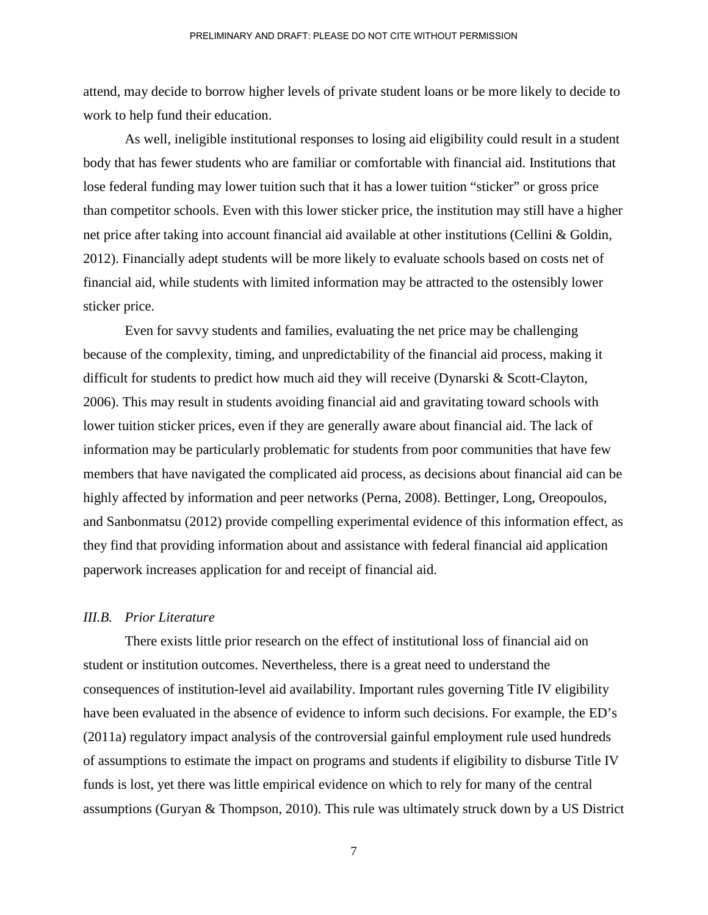attend, may decide to borrow higher levels of private student loans or be more likely to decide to work to help fund their education.

As well, ineligible institutional responses to losing aid eligibility could result in a student body that has fewer students who are familiar or comfortable with financial aid. Institutions that lose federal funding may lower tuition such that it has a lower tuition "sticker" or gross price than competitor schools. Even with this lower sticker price, the institution may still have a higher net price after taking into account financial aid available at other institutions (Cellini & Goldin, 2012). Financially adept students will be more likely to evaluate schools based on costs net of financial aid, while students with limited information may be attracted to the ostensibly lower sticker price.

Even for savvy students and families, evaluating the net price may be challenging because of the complexity, timing, and unpredictability of the financial aid process, making it difficult for students to predict how much aid they will receive (Dynarski & Scott-Clayton, 2006). This may result in students avoiding financial aid and gravitating toward schools with lower tuition sticker prices, even if they are generally aware about financial aid. The lack of information may be particularly problematic for students from poor communities that have few members that have navigated the complicated aid process, as decisions about financial aid can be highly affected by information and peer networks (Perna, 2008). Bettinger, Long, Oreopoulos, and Sanbonmatsu (2012) provide compelling experimental evidence of this information effect, as they find that providing information about and assistance with federal financial aid application paperwork increases application for and receipt of financial aid.

### *III.B. Prior Literature*

There exists little prior research on the effect of institutional loss of financial aid on student or institution outcomes. Nevertheless, there is a great need to understand the consequences of institution-level aid availability. Important rules governing Title IV eligibility have been evaluated in the absence of evidence to inform such decisions. For example, the ED's (2011a) regulatory impact analysis of the controversial gainful employment rule used hundreds of assumptions to estimate the impact on programs and students if eligibility to disburse Title IV funds is lost, yet there was little empirical evidence on which to rely for many of the central assumptions (Guryan & Thompson, 2010). This rule was ultimately struck down by a US District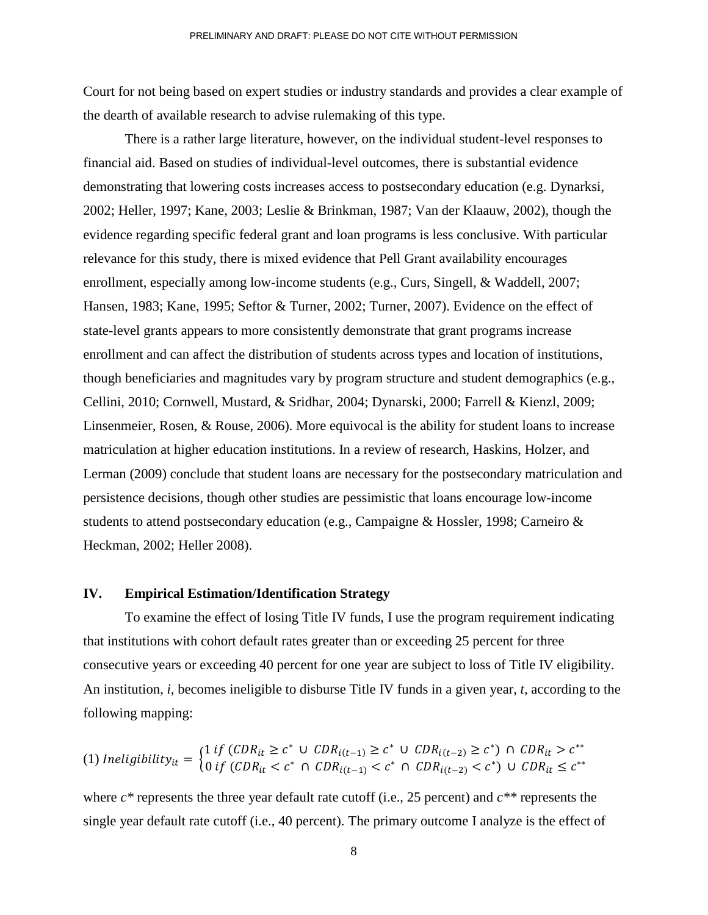Court for not being based on expert studies or industry standards and provides a clear example of the dearth of available research to advise rulemaking of this type.

There is a rather large literature, however, on the individual student-level responses to financial aid. Based on studies of individual-level outcomes, there is substantial evidence demonstrating that lowering costs increases access to postsecondary education (e.g. Dynarksi, 2002; Heller, 1997; Kane, 2003; Leslie & Brinkman, 1987; Van der Klaauw, 2002), though the evidence regarding specific federal grant and loan programs is less conclusive. With particular relevance for this study, there is mixed evidence that Pell Grant availability encourages enrollment, especially among low-income students (e.g., Curs, Singell, & Waddell, 2007; Hansen, 1983; Kane, 1995; Seftor & Turner, 2002; Turner, 2007). Evidence on the effect of state-level grants appears to more consistently demonstrate that grant programs increase enrollment and can affect the distribution of students across types and location of institutions, though beneficiaries and magnitudes vary by program structure and student demographics (e.g., Cellini, 2010; Cornwell, Mustard, & Sridhar, 2004; Dynarski, 2000; Farrell & Kienzl, 2009; Linsenmeier, Rosen, & Rouse, 2006). More equivocal is the ability for student loans to increase matriculation at higher education institutions. In a review of research, Haskins, Holzer, and Lerman (2009) conclude that student loans are necessary for the postsecondary matriculation and persistence decisions, though other studies are pessimistic that loans encourage low-income students to attend postsecondary education (e.g., Campaigne & Hossler, 1998; Carneiro & Heckman, 2002; Heller 2008).

### **IV. Empirical Estimation/Identification Strategy**

To examine the effect of losing Title IV funds, I use the program requirement indicating that institutions with cohort default rates greater than or exceeding 25 percent for three consecutive years or exceeding 40 percent for one year are subject to loss of Title IV eligibility. An institution, *i*, becomes ineligible to disburse Title IV funds in a given year, *t*, according to the following mapping:

$$
(1) \text{ Ineligibility}_{it} = \begin{cases} 1 \text{ if } (CDR_{it} \ge c^* \cup CDR_{i(t-1)} \ge c^* \cup CDR_{i(t-2)} \ge c^*) \cap CDR_{it} > c^{**} \\ 0 \text{ if } (CDR_{it} < c^* \cap CDR_{i(t-1)} < c^* \cap CDR_{i(t-2)} < c^*) \cup CDR_{it} \le c^{**} \end{cases}
$$

where *c\** represents the three year default rate cutoff (i.e., 25 percent) and *c\*\** represents the single year default rate cutoff (i.e., 40 percent). The primary outcome I analyze is the effect of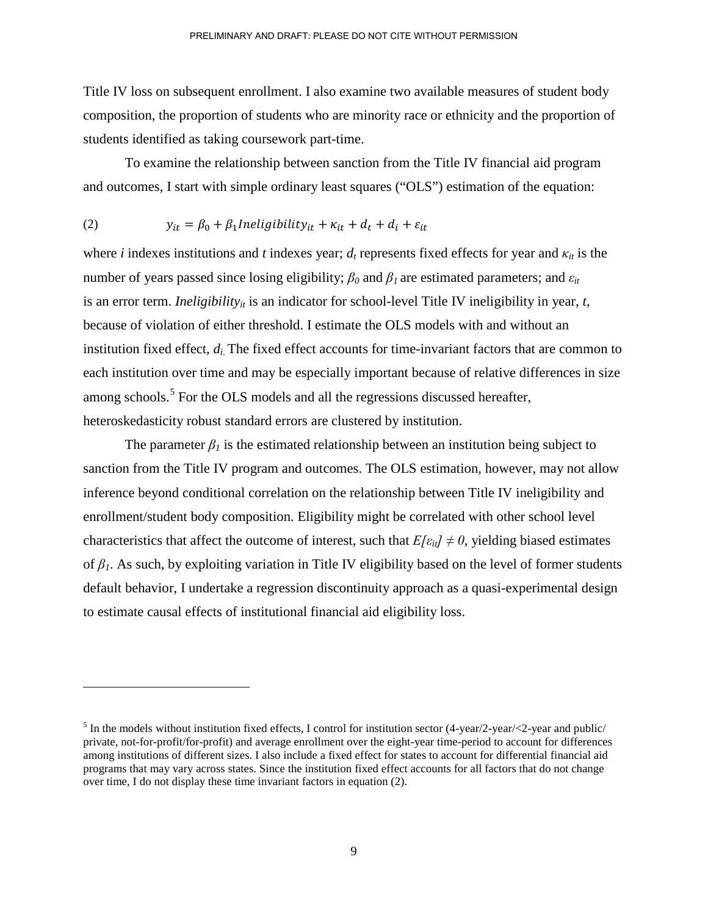Title IV loss on subsequent enrollment. I also examine two available measures of student body composition, the proportion of students who are minority race or ethnicity and the proportion of students identified as taking coursework part-time.

To examine the relationship between sanction from the Title IV financial aid program and outcomes, I start with simple ordinary least squares ("OLS") estimation of the equation:

(2) 
$$
y_{it} = \beta_0 + \beta_1 \text{Ineligibility}_{it} + \kappa_{it} + d_t + d_i + \varepsilon_{it}
$$

1

where *i* indexes institutions and *t* indexes year;  $d_t$  represents fixed effects for year and  $\kappa_{it}$  is the number of years passed since losing eligibility;  $\beta_0$  and  $\beta_1$  are estimated parameters; and  $\varepsilon_{it}$ is an error term. *Ineligibility<sub>it</sub>* is an indicator for school-level Title IV ineligibility in year,  $t$ , because of violation of either threshold. I estimate the OLS models with and without an institution fixed effect, *di*. The fixed effect accounts for time-invariant factors that are common to each institution over time and may be especially important because of relative differences in size among schools.<sup>[5](#page-9-0)</sup> For the OLS models and all the regressions discussed hereafter, heteroskedasticity robust standard errors are clustered by institution.

The parameter  $\beta_l$  is the estimated relationship between an institution being subject to sanction from the Title IV program and outcomes. The OLS estimation, however, may not allow inference beyond conditional correlation on the relationship between Title IV ineligibility and enrollment/student body composition. Eligibility might be correlated with other school level characteristics that affect the outcome of interest, such that  $E[\epsilon_{it}] \neq 0$ , yielding biased estimates of *β1*. As such, by exploiting variation in Title IV eligibility based on the level of former students default behavior, I undertake a regression discontinuity approach as a quasi-experimental design to estimate causal effects of institutional financial aid eligibility loss.

<span id="page-9-0"></span><sup>&</sup>lt;sup>5</sup> In the models without institution fixed effects, I control for institution sector  $(4-\gamma)$ -year/<2-year and public/ private, not-for-profit/for-profit) and average enrollment over the eight-year time-period to account for differences among institutions of different sizes. I also include a fixed effect for states to account for differential financial aid programs that may vary across states. Since the institution fixed effect accounts for all factors that do not change over time, I do not display these time invariant factors in equation (2).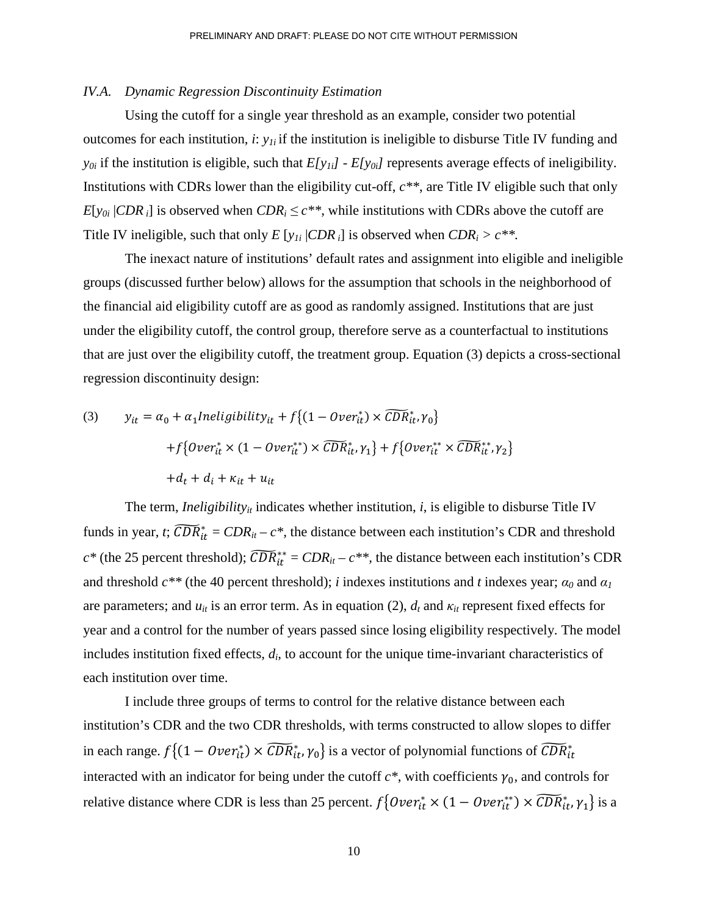### *IV.A. Dynamic Regression Discontinuity Estimation*

Using the cutoff for a single year threshold as an example, consider two potential outcomes for each institution,  $\dot{x}$ :  $y_{1i}$  if the institution is ineligible to disburse Title IV funding and  $y_{0i}$  if the institution is eligible, such that  $E[y_{1i}]$  -  $E[y_{0i}]$  represents average effects of ineligibility. Institutions with CDRs lower than the eligibility cut-off, *c\*\**, are Title IV eligible such that only *E*[ $y_{0i}$  |*CDR*<sub>*i*</sub>] is observed when *CDR<sub>i</sub>*  $\leq$  *c*\*\*, while institutions with CDRs above the cutoff are Title IV ineligible, such that only *E* [ $y_{1i}$  |*CDR*<sub>*i*</sub>] is observed when *CDR*<sub>*i*</sub> >  $c^{**}$ .

The inexact nature of institutions' default rates and assignment into eligible and ineligible groups (discussed further below) allows for the assumption that schools in the neighborhood of the financial aid eligibility cutoff are as good as randomly assigned. Institutions that are just under the eligibility cutoff, the control group, therefore serve as a counterfactual to institutions that are just over the eligibility cutoff, the treatment group. Equation (3) depicts a cross-sectional regression discontinuity design:

(3) 
$$
y_{it} = \alpha_0 + \alpha_1 Ineligibility_{it} + f\{(1 - Over_{it}^*) \times \widehat{CDR}_{it}^*, \gamma_0\} + f\{Over_{it}^* \times (1 - Over_{it}^{**}) \times \widehat{CDR}_{it}^*, \gamma_1\} + f\{Over_{it}^{**} \times \widehat{CDR}_{it}^{**}, \gamma_2\} + d_t + d_i + \kappa_{it} + u_{it}
$$

The term, *Ineligibility<sub>it</sub>* indicates whether institution,  $i$ , is eligible to disburse Title IV funds in year, *t*;  $\widehat{CDR}_{it}^* = \widehat{CDR}_{it} - c^*$ , the distance between each institution's CDR and threshold  $c^*$  (the 25 percent threshold);  $\widehat{CDR}_{it}^{**} = \widehat{CDR}_{it} - c^{**}$ , the distance between each institution's CDR and threshold  $c^{**}$  (the 40 percent threshold); *i* indexes institutions and *t* indexes year;  $\alpha_0$  and  $\alpha_1$ are parameters; and  $u_{it}$  is an error term. As in equation (2),  $d_t$  and  $\kappa_{it}$  represent fixed effects for year and a control for the number of years passed since losing eligibility respectively. The model includes institution fixed effects, *di*, to account for the unique time-invariant characteristics of each institution over time.

I include three groups of terms to control for the relative distance between each institution's CDR and the two CDR thresholds, with terms constructed to allow slopes to differ in each range.  $f\{(1 - Over_{it}^*) \times \widehat{CDR}_{it}^*, \gamma_0\}$  is a vector of polynomial functions of  $CDR_{it}^*$ interacted with an indicator for being under the cutoff  $c^*$ , with coefficients  $\gamma_0$ , and controls for relative distance where CDR is less than 25 percent.  $f\{Over_{it}^* \times (1 - Over_{it}^{**}) \times \widehat{CDR}_{it}^*, \gamma_1\}$  is a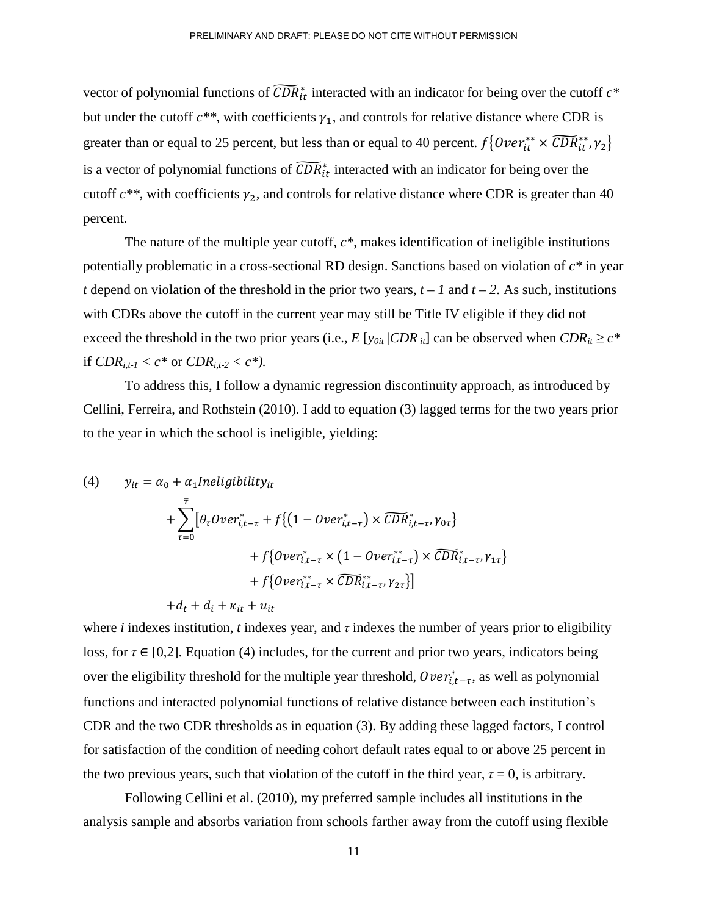vector of polynomial functions of  $\widehat{CDR}_{it}^*$  interacted with an indicator for being over the cutoff  $c^*$ but under the cutoff  $c^{**}$ , with coefficients  $\gamma_1$ , and controls for relative distance where CDR is greater than or equal to 25 percent, but less than or equal to 40 percent.  $f\{Over_{it}^{**} \times \widehat{CDR}_{it}^{**}, \gamma_2\}$ is a vector of polynomial functions of  $\widehat{CDR}_{it}^*$  interacted with an indicator for being over the cutoff  $c^{**}$ , with coefficients  $\gamma_2$ , and controls for relative distance where CDR is greater than 40 percent.

The nature of the multiple year cutoff, *c\**, makes identification of ineligible institutions potentially problematic in a cross-sectional RD design. Sanctions based on violation of *c\** in year *t* depend on violation of the threshold in the prior two years,  $t - 1$  and  $t - 2$ . As such, institutions with CDRs above the cutoff in the current year may still be Title IV eligible if they did not exceed the threshold in the two prior years (i.e.,  $E[y_{0it} | CDR_{it}]$  can be observed when  $CDR_{it} \ge c^*$ if  $CDR_{i,t-1} < c^*$  or  $CDR_{i,t-2} < c^*$ ).

To address this, I follow a dynamic regression discontinuity approach, as introduced by Cellini, Ferreira, and Rothstein (2010). I add to equation (3) lagged terms for the two years prior to the year in which the school is ineligible, yielding:

(4) 
$$
y_{it} = \alpha_0 + \alpha_1 Ineligibility_{it}
$$
  
+ 
$$
\sum_{\tau=0}^{\overline{\tau}} [\theta_\tau Over_{i,t-\tau}^* + f\{(1 - Over_{i,t-\tau}^*) \times \widetilde{CDR}_{i,t-\tau}^* , \gamma_{0\tau}\} + f\{Over_{i,t-\tau}^* \times (1 - Over_{i,t-\tau}^{**}) \times \widetilde{CDR}_{i,t-\tau}^* , \gamma_{1\tau}\} + f\{Over_{i,t-\tau}^{**} \times \widetilde{CDR}_{i,t-\tau}^{**} , \gamma_{2\tau}\}] + d_t + d_i + \kappa_{it} + u_{it}
$$

where *i* indexes institution, *t* indexes year, and  $\tau$  indexes the number of years prior to eligibility loss, for  $\tau \in [0,2]$ . Equation (4) includes, for the current and prior two years, indicators being over the eligibility threshold for the multiple year threshold,  $Over_{i,t-\tau}^*$ , as well as polynomial functions and interacted polynomial functions of relative distance between each institution's CDR and the two CDR thresholds as in equation (3). By adding these lagged factors, I control for satisfaction of the condition of needing cohort default rates equal to or above 25 percent in the two previous years, such that violation of the cutoff in the third year,  $\tau = 0$ , is arbitrary.

Following Cellini et al. (2010), my preferred sample includes all institutions in the analysis sample and absorbs variation from schools farther away from the cutoff using flexible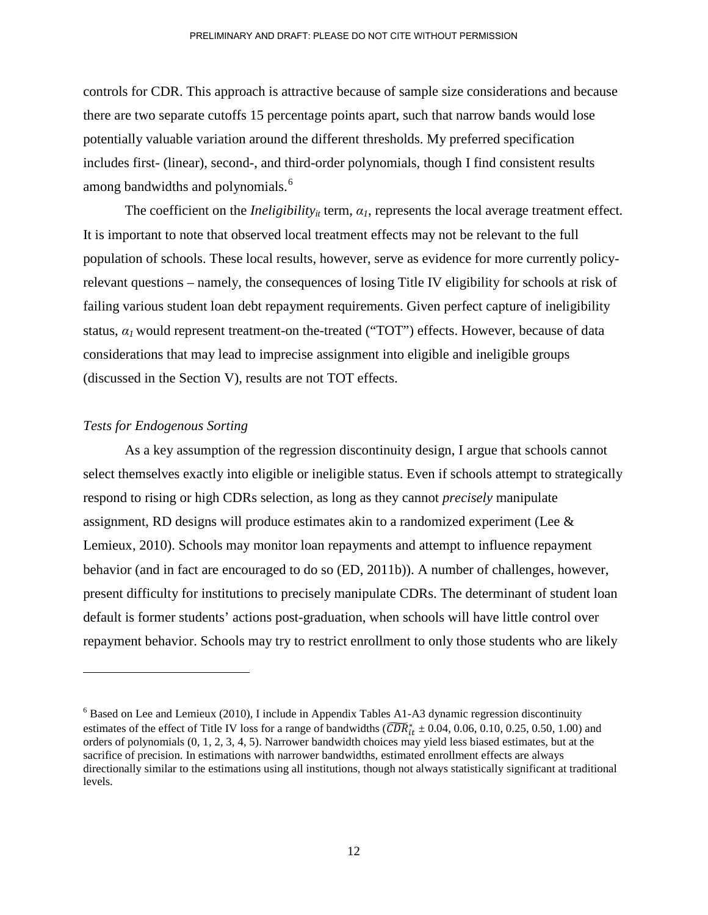controls for CDR. This approach is attractive because of sample size considerations and because there are two separate cutoffs 15 percentage points apart, such that narrow bands would lose potentially valuable variation around the different thresholds. My preferred specification includes first- (linear), second-, and third-order polynomials, though I find consistent results among bandwidths and polynomials.<sup>[6](#page-12-0)</sup>

The coefficient on the *Ineligibility<sub>it</sub>* term,  $\alpha_l$ , represents the local average treatment effect. It is important to note that observed local treatment effects may not be relevant to the full population of schools. These local results, however, serve as evidence for more currently policyrelevant questions – namely, the consequences of losing Title IV eligibility for schools at risk of failing various student loan debt repayment requirements. Given perfect capture of ineligibility status,  $\alpha_l$  would represent treatment-on the-treated ("TOT") effects. However, because of data considerations that may lead to imprecise assignment into eligible and ineligible groups (discussed in the Section V), results are not TOT effects.

### *Tests for Endogenous Sorting*

 $\overline{a}$ 

As a key assumption of the regression discontinuity design, I argue that schools cannot select themselves exactly into eligible or ineligible status. Even if schools attempt to strategically respond to rising or high CDRs selection, as long as they cannot *precisely* manipulate assignment, RD designs will produce estimates akin to a randomized experiment (Lee & Lemieux, 2010). Schools may monitor loan repayments and attempt to influence repayment behavior (and in fact are encouraged to do so (ED, 2011b)). A number of challenges, however, present difficulty for institutions to precisely manipulate CDRs. The determinant of student loan default is former students' actions post-graduation, when schools will have little control over repayment behavior. Schools may try to restrict enrollment to only those students who are likely

<span id="page-12-0"></span> $6$  Based on Lee and Lemieux (2010), I include in Appendix Tables A1-A3 dynamic regression discontinuity estimates of the effect of Title IV loss for a range of bandwidths ( $\widehat{CDR}_{it}^* \pm 0.04, 0.06, 0.10, 0.25, 0.50, 1.00$ ) and orders of polynomials (0, 1, 2, 3, 4, 5). Narrower bandwidth choices may yield less biased estimates, but at the sacrifice of precision. In estimations with narrower bandwidths, estimated enrollment effects are always directionally similar to the estimations using all institutions, though not always statistically significant at traditional levels.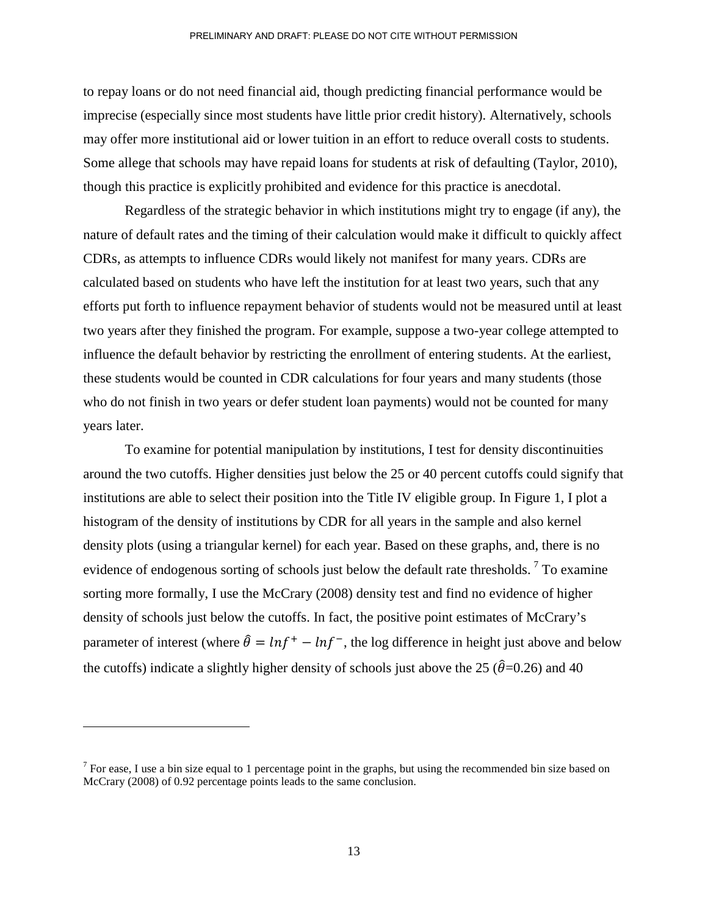to repay loans or do not need financial aid, though predicting financial performance would be imprecise (especially since most students have little prior credit history). Alternatively, schools may offer more institutional aid or lower tuition in an effort to reduce overall costs to students. Some allege that schools may have repaid loans for students at risk of defaulting (Taylor, 2010), though this practice is explicitly prohibited and evidence for this practice is anecdotal.

Regardless of the strategic behavior in which institutions might try to engage (if any), the nature of default rates and the timing of their calculation would make it difficult to quickly affect CDRs, as attempts to influence CDRs would likely not manifest for many years. CDRs are calculated based on students who have left the institution for at least two years, such that any efforts put forth to influence repayment behavior of students would not be measured until at least two years after they finished the program. For example, suppose a two-year college attempted to influence the default behavior by restricting the enrollment of entering students. At the earliest, these students would be counted in CDR calculations for four years and many students (those who do not finish in two years or defer student loan payments) would not be counted for many years later.

To examine for potential manipulation by institutions, I test for density discontinuities around the two cutoffs. Higher densities just below the 25 or 40 percent cutoffs could signify that institutions are able to select their position into the Title IV eligible group. In Figure 1, I plot a histogram of the density of institutions by CDR for all years in the sample and also kernel density plots (using a triangular kernel) for each year. Based on these graphs, and, there is no evidence of endogenous sorting of schools just below the default rate thresholds.<sup>[7](#page-13-0)</sup> To examine sorting more formally, I use the McCrary (2008) density test and find no evidence of higher density of schools just below the cutoffs. In fact, the positive point estimates of McCrary's parameter of interest (where  $\hat{\theta} = ln f^+ - ln f^-$ , the log difference in height just above and below the cutoffs) indicate a slightly higher density of schools just above the 25 ( $\hat{\theta}$ =0.26) and 40

<span id="page-13-0"></span><sup>&</sup>lt;sup>7</sup> For ease, I use a bin size equal to 1 percentage point in the graphs, but using the recommended bin size based on McCrary (2008) of 0.92 percentage points leads to the same conclusion.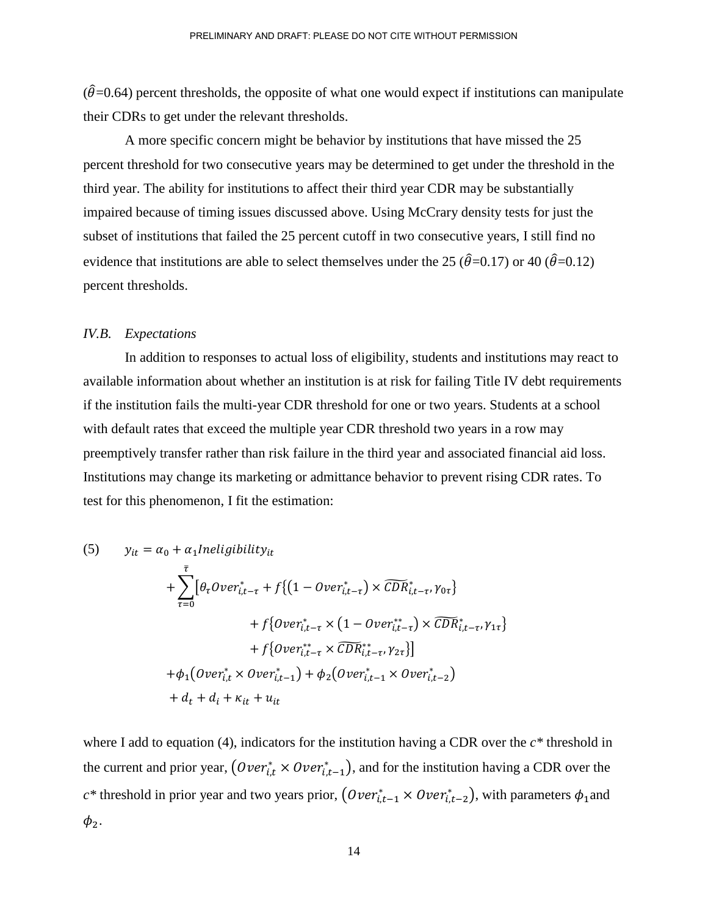$(\hat{\theta}$ =0.64) percent thresholds, the opposite of what one would expect if institutions can manipulate their CDRs to get under the relevant thresholds.

A more specific concern might be behavior by institutions that have missed the 25 percent threshold for two consecutive years may be determined to get under the threshold in the third year. The ability for institutions to affect their third year CDR may be substantially impaired because of timing issues discussed above. Using McCrary density tests for just the subset of institutions that failed the 25 percent cutoff in two consecutive years, I still find no evidence that institutions are able to select themselves under the 25 ( $\hat{\theta}$ =0.17) or 40 ( $\hat{\theta}$ =0.12) percent thresholds.

#### *IV.B. Expectations*

 In addition to responses to actual loss of eligibility, students and institutions may react to available information about whether an institution is at risk for failing Title IV debt requirements if the institution fails the multi-year CDR threshold for one or two years. Students at a school with default rates that exceed the multiple year CDR threshold two years in a row may preemptively transfer rather than risk failure in the third year and associated financial aid loss. Institutions may change its marketing or admittance behavior to prevent rising CDR rates. To test for this phenomenon, I fit the estimation:

(5) 
$$
y_{it} = \alpha_0 + \alpha_1 Ineligibility_{it} + \sum_{\tau=0}^{\bar{\tau}} [\theta_{\tau} Over_{i,t-\tau}^* + f\{ (1 - Over_{i,t-\tau}^*) \times \widehat{CDR}_{i,t-\tau}^* \gamma_{0\tau} \} + f\{ Over_{i,t-\tau}^* \times (1 - Over_{i,t-\tau}^{**}) \times \widehat{CDR}_{i,t-\tau}^* \gamma_{1\tau} \} + f\{ Over_{i,t-\tau}^{**} \times \widehat{CDR}_{i,t-\tau}^{**}, \gamma_{2\tau} \}] + \phi_1 (Over_{i,t}^* \times Over_{i,t-1}^*) + \phi_2 (Over_{i,t-1}^* \times Over_{i,t-2}^*) + d_t + d_i + \kappa_{it} + u_{it}
$$

where I add to equation (4), indicators for the institution having a CDR over the *c\** threshold in the current and prior year,  $(Over_{i,t}^* \times Over_{i,t-1}^*)$ , and for the institution having a CDR over the  $c^*$  threshold in prior year and two years prior,  $(Over_{i,t-1}^* \times Over_{i,t-2}^*)$ , with parameters  $\phi_1$  and  $\phi_2$ .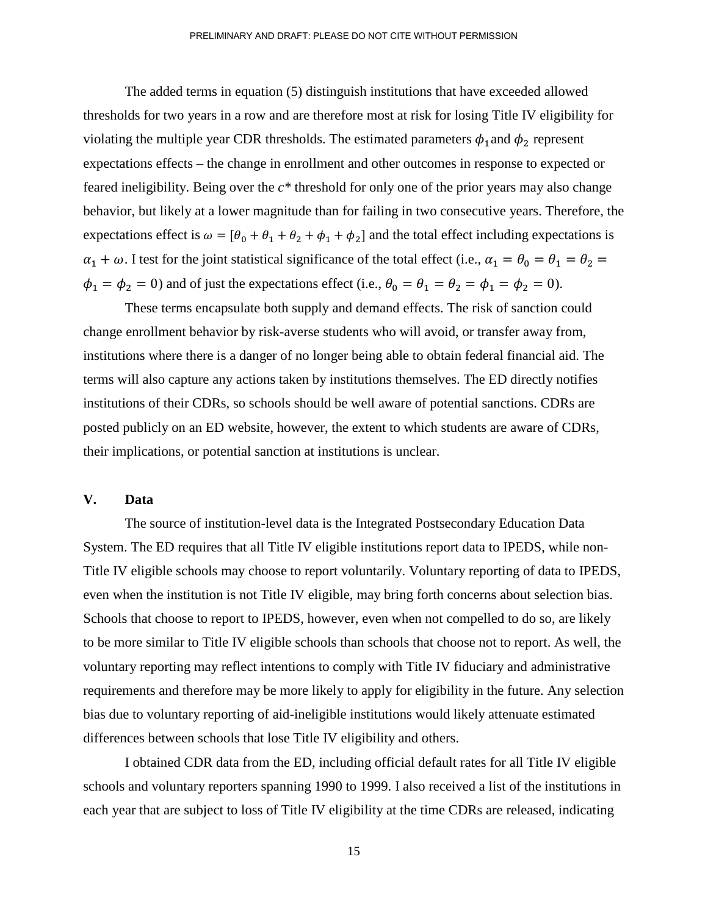The added terms in equation (5) distinguish institutions that have exceeded allowed thresholds for two years in a row and are therefore most at risk for losing Title IV eligibility for violating the multiple year CDR thresholds. The estimated parameters  $\phi_1$  and  $\phi_2$  represent expectations effects – the change in enrollment and other outcomes in response to expected or feared ineligibility. Being over the *c\** threshold for only one of the prior years may also change behavior, but likely at a lower magnitude than for failing in two consecutive years. Therefore, the expectations effect is  $\omega = [\theta_0 + \theta_1 + \theta_2 + \phi_1 + \phi_2]$  and the total effect including expectations is  $\alpha_1 + \omega$ . I test for the joint statistical significance of the total effect (i.e.,  $\alpha_1 = \theta_0 = \theta_1 = \theta_2 =$  $\phi_1 = \phi_2 = 0$ ) and of just the expectations effect (i.e.,  $\theta_0 = \theta_1 = \theta_2 = \phi_1 = \phi_2 = 0$ ).

These terms encapsulate both supply and demand effects. The risk of sanction could change enrollment behavior by risk-averse students who will avoid, or transfer away from, institutions where there is a danger of no longer being able to obtain federal financial aid. The terms will also capture any actions taken by institutions themselves. The ED directly notifies institutions of their CDRs, so schools should be well aware of potential sanctions. CDRs are posted publicly on an ED website, however, the extent to which students are aware of CDRs, their implications, or potential sanction at institutions is unclear.

### **V. Data**

The source of institution-level data is the Integrated Postsecondary Education Data System. The ED requires that all Title IV eligible institutions report data to IPEDS, while non-Title IV eligible schools may choose to report voluntarily. Voluntary reporting of data to IPEDS, even when the institution is not Title IV eligible, may bring forth concerns about selection bias. Schools that choose to report to IPEDS, however, even when not compelled to do so, are likely to be more similar to Title IV eligible schools than schools that choose not to report. As well, the voluntary reporting may reflect intentions to comply with Title IV fiduciary and administrative requirements and therefore may be more likely to apply for eligibility in the future. Any selection bias due to voluntary reporting of aid-ineligible institutions would likely attenuate estimated differences between schools that lose Title IV eligibility and others.

I obtained CDR data from the ED, including official default rates for all Title IV eligible schools and voluntary reporters spanning 1990 to 1999. I also received a list of the institutions in each year that are subject to loss of Title IV eligibility at the time CDRs are released, indicating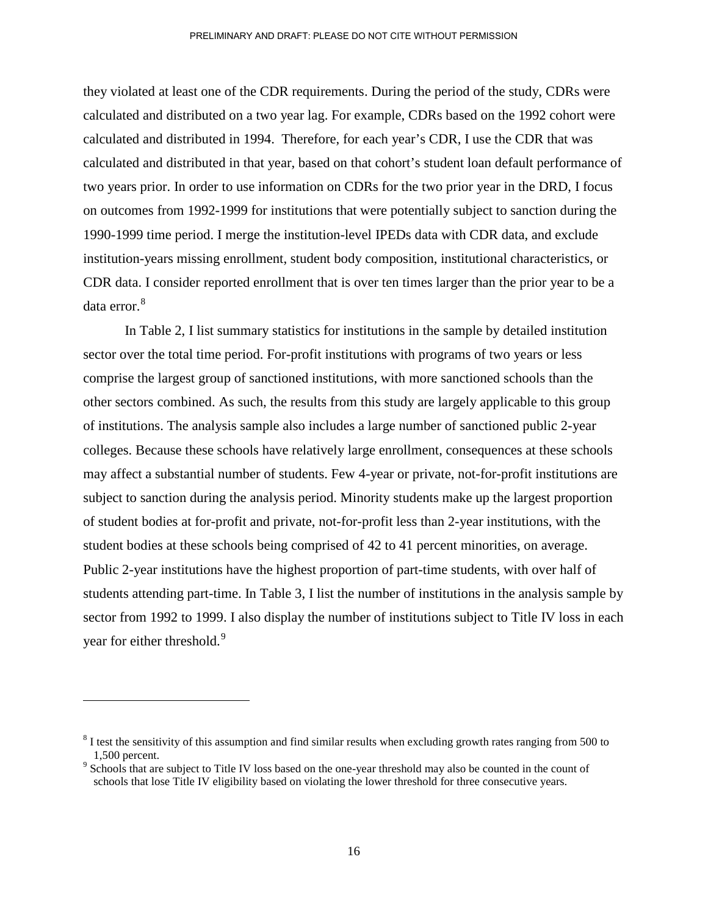they violated at least one of the CDR requirements. During the period of the study, CDRs were calculated and distributed on a two year lag. For example, CDRs based on the 1992 cohort were calculated and distributed in 1994. Therefore, for each year's CDR, I use the CDR that was calculated and distributed in that year, based on that cohort's student loan default performance of two years prior. In order to use information on CDRs for the two prior year in the DRD, I focus on outcomes from 1992-1999 for institutions that were potentially subject to sanction during the 1990-1999 time period. I merge the institution-level IPEDs data with CDR data, and exclude institution-years missing enrollment, student body composition, institutional characteristics, or CDR data. I consider reported enrollment that is over ten times larger than the prior year to be a data error. [8](#page-16-0)

In Table 2, I list summary statistics for institutions in the sample by detailed institution sector over the total time period. For-profit institutions with programs of two years or less comprise the largest group of sanctioned institutions, with more sanctioned schools than the other sectors combined. As such, the results from this study are largely applicable to this group of institutions. The analysis sample also includes a large number of sanctioned public 2-year colleges. Because these schools have relatively large enrollment, consequences at these schools may affect a substantial number of students. Few 4-year or private, not-for-profit institutions are subject to sanction during the analysis period. Minority students make up the largest proportion of student bodies at for-profit and private, not-for-profit less than 2-year institutions, with the student bodies at these schools being comprised of 42 to 41 percent minorities, on average. Public 2-year institutions have the highest proportion of part-time students, with over half of students attending part-time. In Table 3, I list the number of institutions in the analysis sample by sector from 1992 to 1999. I also display the number of institutions subject to Title IV loss in each year for either threshold.<sup>[9](#page-16-1)</sup>

 $\overline{a}$ 

<span id="page-16-0"></span><sup>&</sup>lt;sup>8</sup> I test the sensitivity of this assumption and find similar results when excluding growth rates ranging from 500 to 1,500 percent.<br><sup>9</sup> Schools that are subject to Title IV loss based on the one-year threshold may also be counted in the count of

<span id="page-16-1"></span>schools that lose Title IV eligibility based on violating the lower threshold for three consecutive years.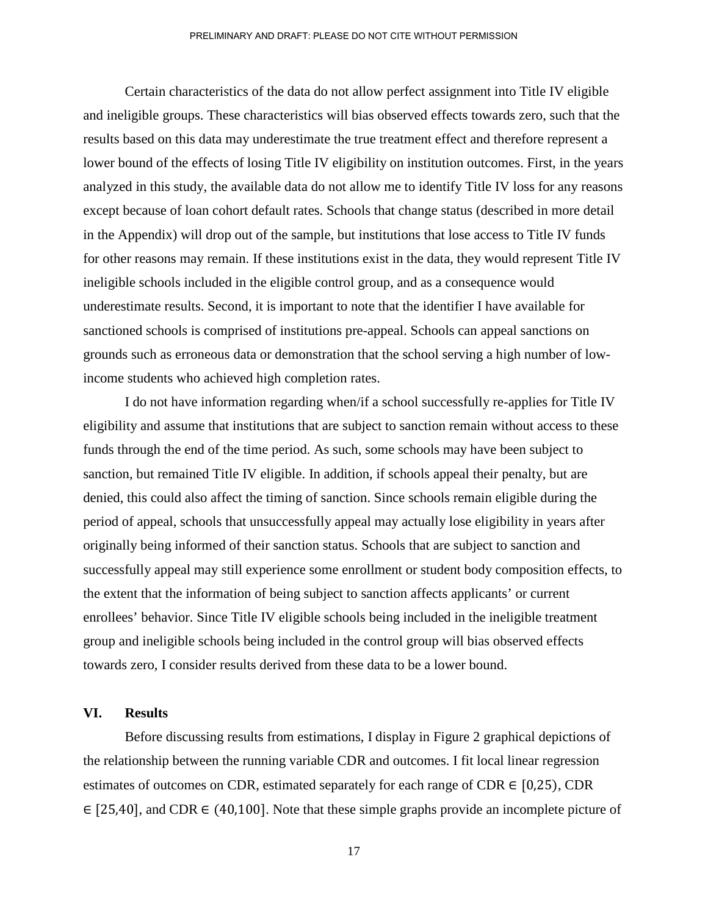Certain characteristics of the data do not allow perfect assignment into Title IV eligible and ineligible groups. These characteristics will bias observed effects towards zero, such that the results based on this data may underestimate the true treatment effect and therefore represent a lower bound of the effects of losing Title IV eligibility on institution outcomes. First, in the years analyzed in this study, the available data do not allow me to identify Title IV loss for any reasons except because of loan cohort default rates. Schools that change status (described in more detail in the Appendix) will drop out of the sample, but institutions that lose access to Title IV funds for other reasons may remain. If these institutions exist in the data, they would represent Title IV ineligible schools included in the eligible control group, and as a consequence would underestimate results. Second, it is important to note that the identifier I have available for sanctioned schools is comprised of institutions pre-appeal. Schools can appeal sanctions on grounds such as erroneous data or demonstration that the school serving a high number of lowincome students who achieved high completion rates.

I do not have information regarding when/if a school successfully re-applies for Title IV eligibility and assume that institutions that are subject to sanction remain without access to these funds through the end of the time period. As such, some schools may have been subject to sanction, but remained Title IV eligible. In addition, if schools appeal their penalty, but are denied, this could also affect the timing of sanction. Since schools remain eligible during the period of appeal, schools that unsuccessfully appeal may actually lose eligibility in years after originally being informed of their sanction status. Schools that are subject to sanction and successfully appeal may still experience some enrollment or student body composition effects, to the extent that the information of being subject to sanction affects applicants' or current enrollees' behavior. Since Title IV eligible schools being included in the ineligible treatment group and ineligible schools being included in the control group will bias observed effects towards zero, I consider results derived from these data to be a lower bound.

### **VI. Results**

Before discussing results from estimations, I display in Figure 2 graphical depictions of the relationship between the running variable CDR and outcomes. I fit local linear regression estimates of outcomes on CDR, estimated separately for each range of CDR  $\in$  [0,25], CDR ∈ [25,40], and CDR ∈ (40,100]. Note that these simple graphs provide an incomplete picture of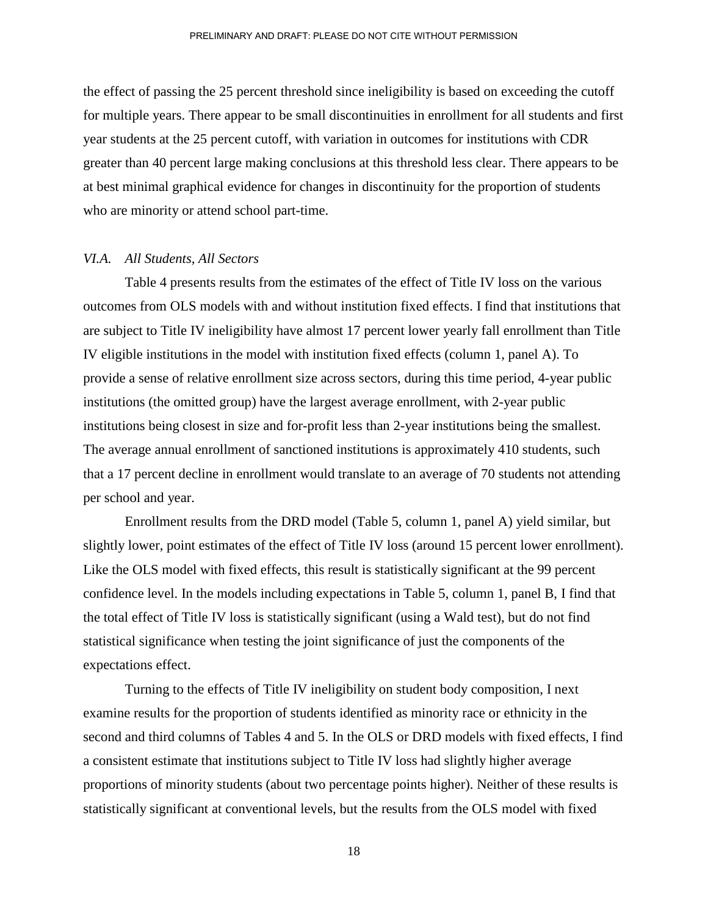the effect of passing the 25 percent threshold since ineligibility is based on exceeding the cutoff for multiple years. There appear to be small discontinuities in enrollment for all students and first year students at the 25 percent cutoff, with variation in outcomes for institutions with CDR greater than 40 percent large making conclusions at this threshold less clear. There appears to be at best minimal graphical evidence for changes in discontinuity for the proportion of students who are minority or attend school part-time.

### *VI.A. All Students, All Sectors*

Table 4 presents results from the estimates of the effect of Title IV loss on the various outcomes from OLS models with and without institution fixed effects. I find that institutions that are subject to Title IV ineligibility have almost 17 percent lower yearly fall enrollment than Title IV eligible institutions in the model with institution fixed effects (column 1, panel A). To provide a sense of relative enrollment size across sectors, during this time period, 4-year public institutions (the omitted group) have the largest average enrollment, with 2-year public institutions being closest in size and for-profit less than 2-year institutions being the smallest. The average annual enrollment of sanctioned institutions is approximately 410 students, such that a 17 percent decline in enrollment would translate to an average of 70 students not attending per school and year.

Enrollment results from the DRD model (Table 5, column 1, panel A) yield similar, but slightly lower, point estimates of the effect of Title IV loss (around 15 percent lower enrollment). Like the OLS model with fixed effects, this result is statistically significant at the 99 percent confidence level. In the models including expectations in Table 5, column 1, panel B, I find that the total effect of Title IV loss is statistically significant (using a Wald test), but do not find statistical significance when testing the joint significance of just the components of the expectations effect.

Turning to the effects of Title IV ineligibility on student body composition, I next examine results for the proportion of students identified as minority race or ethnicity in the second and third columns of Tables 4 and 5. In the OLS or DRD models with fixed effects, I find a consistent estimate that institutions subject to Title IV loss had slightly higher average proportions of minority students (about two percentage points higher). Neither of these results is statistically significant at conventional levels, but the results from the OLS model with fixed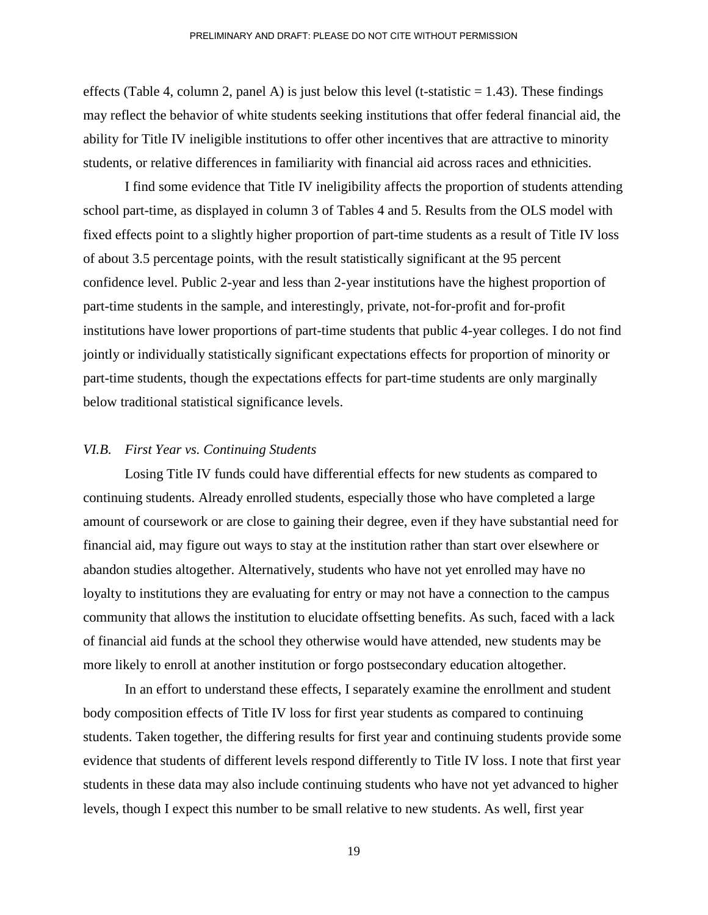effects (Table 4, column 2, panel A) is just below this level (t-statistic  $= 1.43$ ). These findings may reflect the behavior of white students seeking institutions that offer federal financial aid, the ability for Title IV ineligible institutions to offer other incentives that are attractive to minority students, or relative differences in familiarity with financial aid across races and ethnicities.

I find some evidence that Title IV ineligibility affects the proportion of students attending school part-time, as displayed in column 3 of Tables 4 and 5. Results from the OLS model with fixed effects point to a slightly higher proportion of part-time students as a result of Title IV loss of about 3.5 percentage points, with the result statistically significant at the 95 percent confidence level. Public 2-year and less than 2-year institutions have the highest proportion of part-time students in the sample, and interestingly, private, not-for-profit and for-profit institutions have lower proportions of part-time students that public 4-year colleges. I do not find jointly or individually statistically significant expectations effects for proportion of minority or part-time students, though the expectations effects for part-time students are only marginally below traditional statistical significance levels.

#### *VI.B. First Year vs. Continuing Students*

Losing Title IV funds could have differential effects for new students as compared to continuing students. Already enrolled students, especially those who have completed a large amount of coursework or are close to gaining their degree, even if they have substantial need for financial aid, may figure out ways to stay at the institution rather than start over elsewhere or abandon studies altogether. Alternatively, students who have not yet enrolled may have no loyalty to institutions they are evaluating for entry or may not have a connection to the campus community that allows the institution to elucidate offsetting benefits. As such, faced with a lack of financial aid funds at the school they otherwise would have attended, new students may be more likely to enroll at another institution or forgo postsecondary education altogether.

In an effort to understand these effects, I separately examine the enrollment and student body composition effects of Title IV loss for first year students as compared to continuing students. Taken together, the differing results for first year and continuing students provide some evidence that students of different levels respond differently to Title IV loss. I note that first year students in these data may also include continuing students who have not yet advanced to higher levels, though I expect this number to be small relative to new students. As well, first year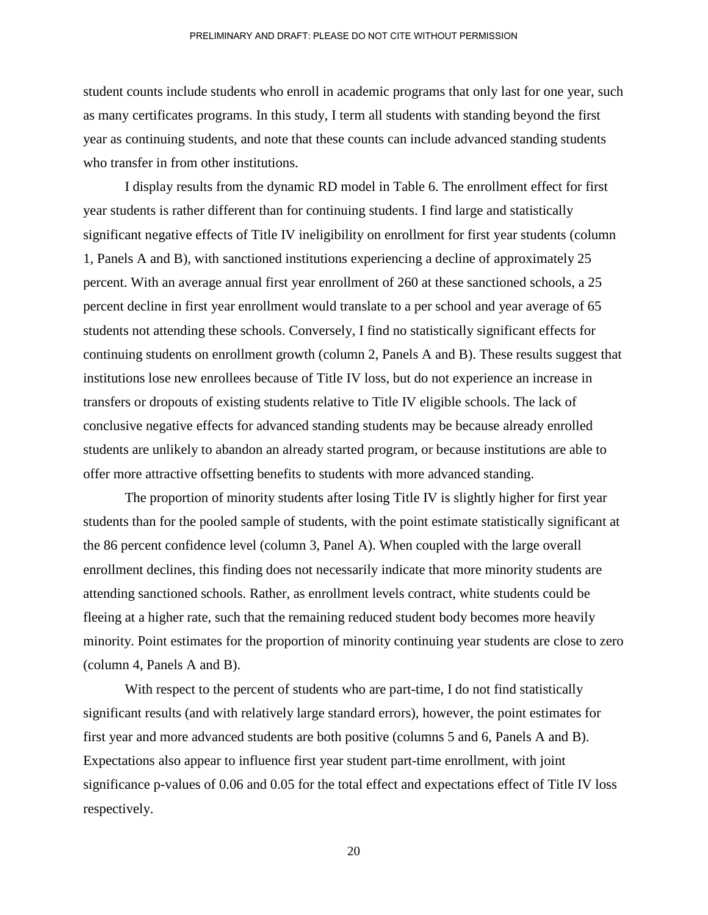student counts include students who enroll in academic programs that only last for one year, such as many certificates programs. In this study, I term all students with standing beyond the first year as continuing students, and note that these counts can include advanced standing students who transfer in from other institutions.

I display results from the dynamic RD model in Table 6. The enrollment effect for first year students is rather different than for continuing students. I find large and statistically significant negative effects of Title IV ineligibility on enrollment for first year students (column 1, Panels A and B), with sanctioned institutions experiencing a decline of approximately 25 percent. With an average annual first year enrollment of 260 at these sanctioned schools, a 25 percent decline in first year enrollment would translate to a per school and year average of 65 students not attending these schools. Conversely, I find no statistically significant effects for continuing students on enrollment growth (column 2, Panels A and B). These results suggest that institutions lose new enrollees because of Title IV loss, but do not experience an increase in transfers or dropouts of existing students relative to Title IV eligible schools. The lack of conclusive negative effects for advanced standing students may be because already enrolled students are unlikely to abandon an already started program, or because institutions are able to offer more attractive offsetting benefits to students with more advanced standing.

The proportion of minority students after losing Title IV is slightly higher for first year students than for the pooled sample of students, with the point estimate statistically significant at the 86 percent confidence level (column 3, Panel A). When coupled with the large overall enrollment declines, this finding does not necessarily indicate that more minority students are attending sanctioned schools. Rather, as enrollment levels contract, white students could be fleeing at a higher rate, such that the remaining reduced student body becomes more heavily minority. Point estimates for the proportion of minority continuing year students are close to zero (column 4, Panels A and B).

With respect to the percent of students who are part-time, I do not find statistically significant results (and with relatively large standard errors), however, the point estimates for first year and more advanced students are both positive (columns 5 and 6, Panels A and B). Expectations also appear to influence first year student part-time enrollment, with joint significance p-values of 0.06 and 0.05 for the total effect and expectations effect of Title IV loss respectively.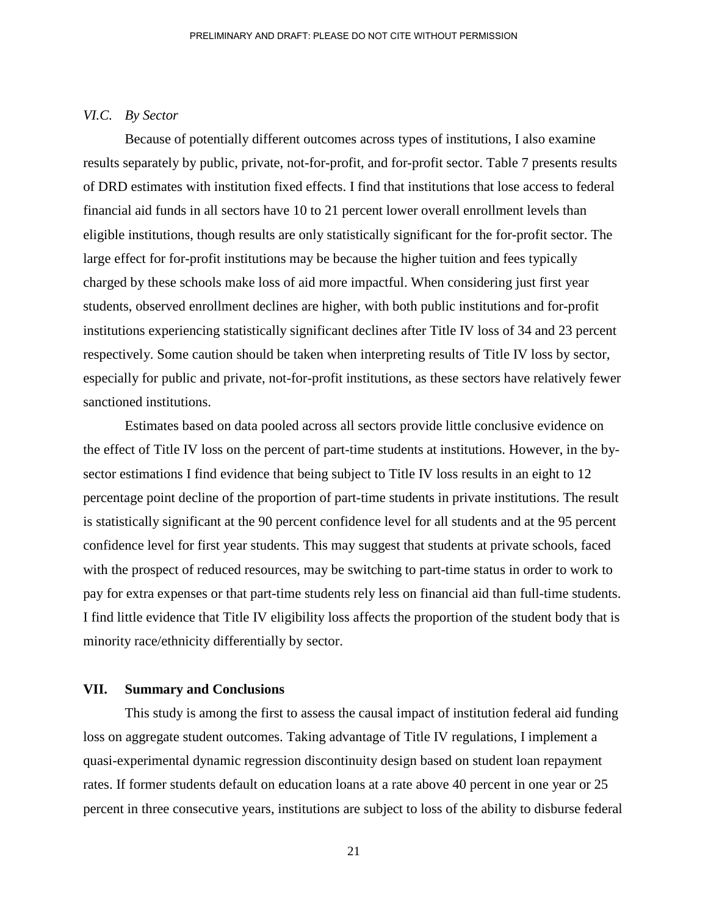### *VI.C. By Sector*

Because of potentially different outcomes across types of institutions, I also examine results separately by public, private, not-for-profit, and for-profit sector. Table 7 presents results of DRD estimates with institution fixed effects. I find that institutions that lose access to federal financial aid funds in all sectors have 10 to 21 percent lower overall enrollment levels than eligible institutions, though results are only statistically significant for the for-profit sector. The large effect for for-profit institutions may be because the higher tuition and fees typically charged by these schools make loss of aid more impactful. When considering just first year students, observed enrollment declines are higher, with both public institutions and for-profit institutions experiencing statistically significant declines after Title IV loss of 34 and 23 percent respectively. Some caution should be taken when interpreting results of Title IV loss by sector, especially for public and private, not-for-profit institutions, as these sectors have relatively fewer sanctioned institutions.

Estimates based on data pooled across all sectors provide little conclusive evidence on the effect of Title IV loss on the percent of part-time students at institutions. However, in the bysector estimations I find evidence that being subject to Title IV loss results in an eight to 12 percentage point decline of the proportion of part-time students in private institutions. The result is statistically significant at the 90 percent confidence level for all students and at the 95 percent confidence level for first year students. This may suggest that students at private schools, faced with the prospect of reduced resources, may be switching to part-time status in order to work to pay for extra expenses or that part-time students rely less on financial aid than full-time students. I find little evidence that Title IV eligibility loss affects the proportion of the student body that is minority race/ethnicity differentially by sector.

## **VII. Summary and Conclusions**

This study is among the first to assess the causal impact of institution federal aid funding loss on aggregate student outcomes. Taking advantage of Title IV regulations, I implement a quasi-experimental dynamic regression discontinuity design based on student loan repayment rates. If former students default on education loans at a rate above 40 percent in one year or 25 percent in three consecutive years, institutions are subject to loss of the ability to disburse federal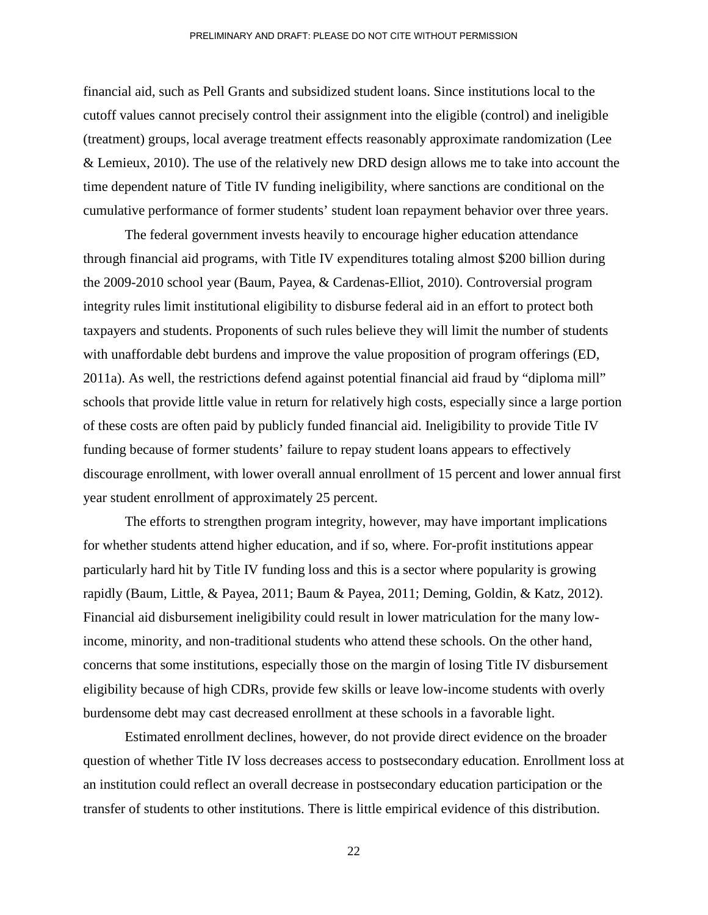financial aid, such as Pell Grants and subsidized student loans. Since institutions local to the cutoff values cannot precisely control their assignment into the eligible (control) and ineligible (treatment) groups, local average treatment effects reasonably approximate randomization (Lee & Lemieux, 2010). The use of the relatively new DRD design allows me to take into account the time dependent nature of Title IV funding ineligibility, where sanctions are conditional on the cumulative performance of former students' student loan repayment behavior over three years.

The federal government invests heavily to encourage higher education attendance through financial aid programs, with Title IV expenditures totaling almost \$200 billion during the 2009-2010 school year (Baum, Payea, & Cardenas-Elliot, 2010). Controversial program integrity rules limit institutional eligibility to disburse federal aid in an effort to protect both taxpayers and students. Proponents of such rules believe they will limit the number of students with unaffordable debt burdens and improve the value proposition of program offerings (ED, 2011a). As well, the restrictions defend against potential financial aid fraud by "diploma mill" schools that provide little value in return for relatively high costs, especially since a large portion of these costs are often paid by publicly funded financial aid. Ineligibility to provide Title IV funding because of former students' failure to repay student loans appears to effectively discourage enrollment, with lower overall annual enrollment of 15 percent and lower annual first year student enrollment of approximately 25 percent.

The efforts to strengthen program integrity, however, may have important implications for whether students attend higher education, and if so, where. For-profit institutions appear particularly hard hit by Title IV funding loss and this is a sector where popularity is growing rapidly (Baum, Little, & Payea, 2011; Baum & Payea, 2011; Deming, Goldin, & Katz, 2012). Financial aid disbursement ineligibility could result in lower matriculation for the many lowincome, minority, and non-traditional students who attend these schools. On the other hand, concerns that some institutions, especially those on the margin of losing Title IV disbursement eligibility because of high CDRs, provide few skills or leave low-income students with overly burdensome debt may cast decreased enrollment at these schools in a favorable light.

Estimated enrollment declines, however, do not provide direct evidence on the broader question of whether Title IV loss decreases access to postsecondary education. Enrollment loss at an institution could reflect an overall decrease in postsecondary education participation or the transfer of students to other institutions. There is little empirical evidence of this distribution.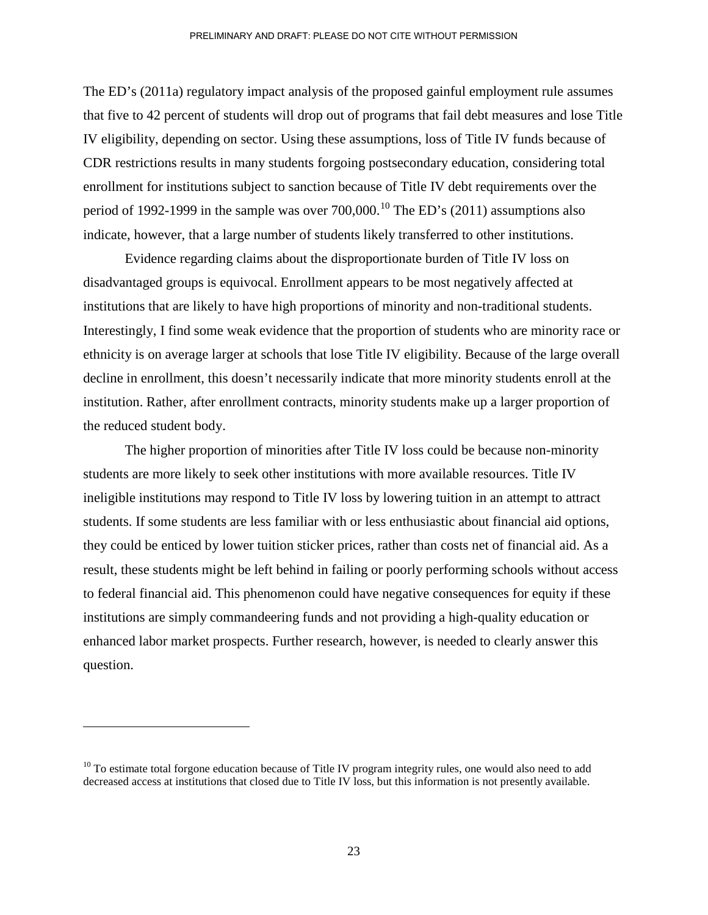The ED's (2011a) regulatory impact analysis of the proposed gainful employment rule assumes that five to 42 percent of students will drop out of programs that fail debt measures and lose Title IV eligibility, depending on sector. Using these assumptions, loss of Title IV funds because of CDR restrictions results in many students forgoing postsecondary education, considering total enrollment for institutions subject to sanction because of Title IV debt requirements over the period of 1992-1999 in the sample was over  $700,000$ .<sup>[10](#page-23-0)</sup> The ED's (2011) assumptions also indicate, however, that a large number of students likely transferred to other institutions.

Evidence regarding claims about the disproportionate burden of Title IV loss on disadvantaged groups is equivocal. Enrollment appears to be most negatively affected at institutions that are likely to have high proportions of minority and non-traditional students. Interestingly, I find some weak evidence that the proportion of students who are minority race or ethnicity is on average larger at schools that lose Title IV eligibility. Because of the large overall decline in enrollment, this doesn't necessarily indicate that more minority students enroll at the institution. Rather, after enrollment contracts, minority students make up a larger proportion of the reduced student body.

The higher proportion of minorities after Title IV loss could be because non-minority students are more likely to seek other institutions with more available resources. Title IV ineligible institutions may respond to Title IV loss by lowering tuition in an attempt to attract students. If some students are less familiar with or less enthusiastic about financial aid options, they could be enticed by lower tuition sticker prices, rather than costs net of financial aid. As a result, these students might be left behind in failing or poorly performing schools without access to federal financial aid. This phenomenon could have negative consequences for equity if these institutions are simply commandeering funds and not providing a high-quality education or enhanced labor market prospects. Further research, however, is needed to clearly answer this question.

<span id="page-23-0"></span> $10$  To estimate total forgone education because of Title IV program integrity rules, one would also need to add decreased access at institutions that closed due to Title IV loss, but this information is not presently available.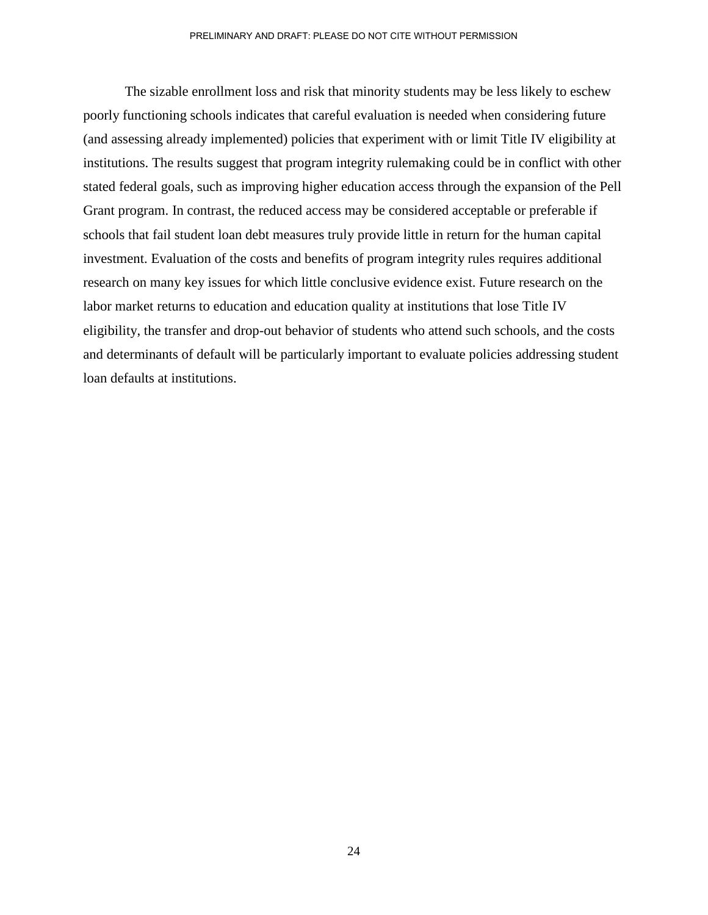The sizable enrollment loss and risk that minority students may be less likely to eschew poorly functioning schools indicates that careful evaluation is needed when considering future (and assessing already implemented) policies that experiment with or limit Title IV eligibility at institutions. The results suggest that program integrity rulemaking could be in conflict with other stated federal goals, such as improving higher education access through the expansion of the Pell Grant program. In contrast, the reduced access may be considered acceptable or preferable if schools that fail student loan debt measures truly provide little in return for the human capital investment. Evaluation of the costs and benefits of program integrity rules requires additional research on many key issues for which little conclusive evidence exist. Future research on the labor market returns to education and education quality at institutions that lose Title IV eligibility, the transfer and drop-out behavior of students who attend such schools, and the costs and determinants of default will be particularly important to evaluate policies addressing student loan defaults at institutions.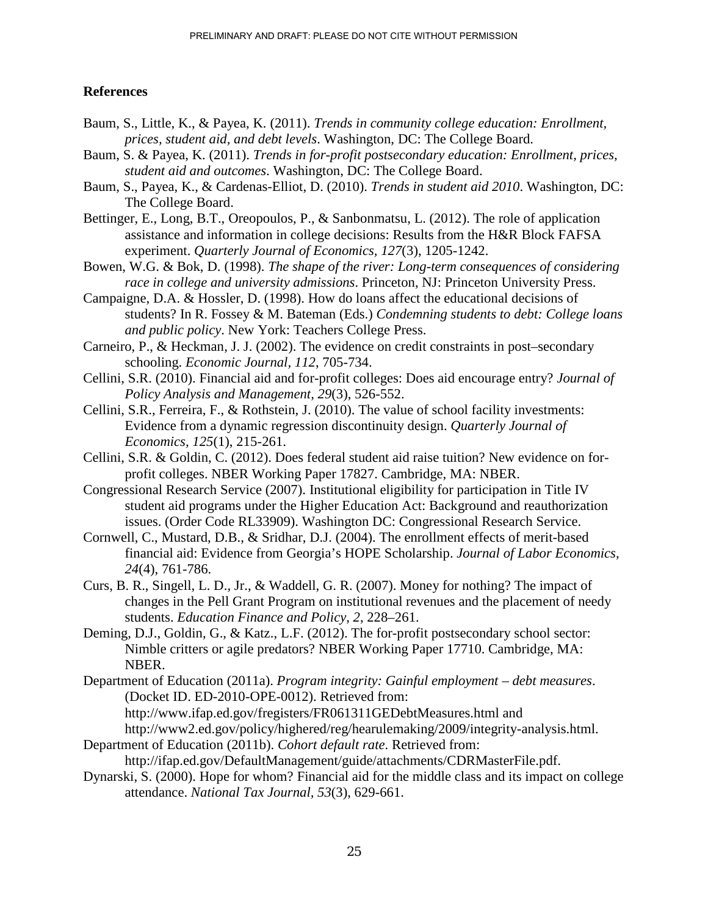### **References**

- Baum, S., Little, K., & Payea, K. (2011). *Trends in community college education: Enrollment, prices, student aid, and debt levels*. Washington, DC: The College Board.
- Baum, S. & Payea, K. (2011). *Trends in for-profit postsecondary education: Enrollment, prices, student aid and outcomes*. Washington, DC: The College Board.
- Baum, S., Payea, K., & Cardenas-Elliot, D. (2010). *Trends in student aid 2010*. Washington, DC: The College Board.
- Bettinger, E., Long, B.T., Oreopoulos, P., & Sanbonmatsu, L. (2012). The role of application assistance and information in college decisions: Results from the H&R Block FAFSA experiment. *Quarterly Journal of Economics, 127*(3), 1205-1242.
- Bowen, W.G. & Bok, D. (1998). *The shape of the river: Long-term consequences of considering race in college and university admissions*. Princeton, NJ: Princeton University Press.
- Campaigne, D.A. & Hossler, D. (1998). How do loans affect the educational decisions of students? In R. Fossey & M. Bateman (Eds.) *Condemning students to debt: College loans and public policy*. New York: Teachers College Press.
- Carneiro, P., & Heckman, J. J. (2002). The evidence on credit constraints in post–secondary schooling. *Economic Journal, 112*, 705-734.
- Cellini, S.R. (2010). Financial aid and for-profit colleges: Does aid encourage entry? *Journal of Policy Analysis and Management, 29*(3), 526-552.
- Cellini, S.R., Ferreira, F., & Rothstein, J. (2010). The value of school facility investments: Evidence from a dynamic regression discontinuity design. *Quarterly Journal of Economics, 125*(1), 215-261.
- Cellini, S.R. & Goldin, C. (2012). Does federal student aid raise tuition? New evidence on forprofit colleges. NBER Working Paper 17827. Cambridge, MA: NBER.
- Congressional Research Service (2007). Institutional eligibility for participation in Title IV student aid programs under the Higher Education Act: Background and reauthorization issues. (Order Code RL33909). Washington DC: Congressional Research Service.
- Cornwell, C., Mustard, D.B., & Sridhar, D.J. (2004). The enrollment effects of merit-based financial aid: Evidence from Georgia's HOPE Scholarship. *Journal of Labor Economics, 24*(4), 761-786.
- Curs, B. R., Singell, L. D., Jr., & Waddell, G. R. (2007). Money for nothing? The impact of changes in the Pell Grant Program on institutional revenues and the placement of needy students. *Education Finance and Policy*, *2*, 228–261.
- Deming, D.J., Goldin, G., & Katz., L.F. (2012). The for-profit postsecondary school sector: Nimble critters or agile predators? NBER Working Paper 17710. Cambridge, MA: NBER.
- Department of Education (2011a). *Program integrity: Gainful employment debt measures*. (Docket ID. ED-2010-OPE-0012). Retrieved from: http://www.ifap.ed.gov/fregisters/FR061311GEDebtMeasures.html and http://www2.ed.gov/policy/highered/reg/hearulemaking/2009/integrity-analysis.html.
- Department of Education (2011b). *Cohort default rate*. Retrieved from: http://ifap.ed.gov/DefaultManagement/guide/attachments/CDRMasterFile.pdf.
- Dynarski, S. (2000). Hope for whom? Financial aid for the middle class and its impact on college attendance. *National Tax Journal, 53*(3), 629-661.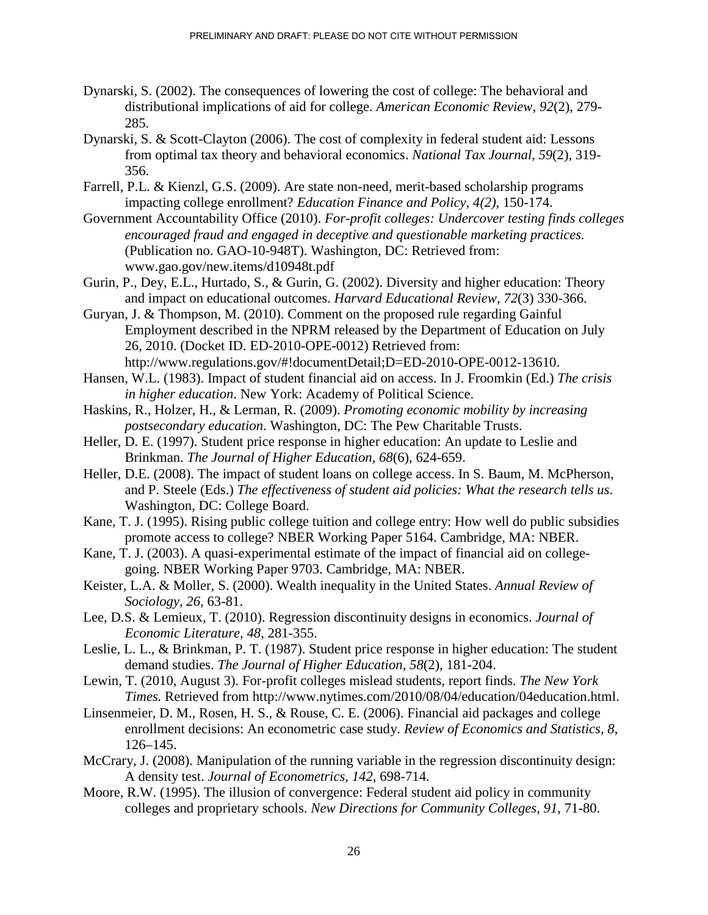- Dynarski, S. (2002). The consequences of lowering the cost of college: The behavioral and distributional implications of aid for college. *American Economic Review, 92*(2), 279- 285.
- Dynarski, S. & Scott-Clayton (2006). The cost of complexity in federal student aid: Lessons from optimal tax theory and behavioral economics. *National Tax Journal*, *59*(2), 319- 356.
- Farrell, P.L. & Kienzl, G.S. (2009). Are state non-need, merit-based scholarship programs impacting college enrollment? *Education Finance and Policy, 4(2)*, 150-174.
- Government Accountability Office (2010). *For-profit colleges: Undercover testing finds colleges encouraged fraud and engaged in deceptive and questionable marketing practices.* (Publication no. GAO-10-948T). Washington, DC: Retrieved from: www.gao.gov/new.items/d10948t.pdf
- Gurin, P., Dey, E.L., Hurtado, S., & Gurin, G. (2002). Diversity and higher education: Theory and impact on educational outcomes. *Harvard Educational Review, 72*(3) 330-366.
- Guryan, J. & Thompson, M. (2010). Comment on the proposed rule regarding Gainful Employment described in the NPRM released by the Department of Education on July 26, 2010. (Docket ID. ED-2010-OPE-0012) Retrieved from: http://www.regulations.gov/#!documentDetail;D=ED-2010-OPE-0012-13610.
- Hansen, W.L. (1983). Impact of student financial aid on access. In J. Froomkin (Ed.) *The crisis in higher education*. New York: Academy of Political Science.
- Haskins, R., Holzer, H., & Lerman, R. (2009). *Promoting economic mobility by increasing postsecondary education*. Washington, DC: The Pew Charitable Trusts.
- Heller, D. E. (1997). Student price response in higher education: An update to Leslie and Brinkman. *The Journal of Higher Education, 68*(6), 624-659.
- Heller, D.E. (2008). The impact of student loans on college access. In S. Baum, M. McPherson, and P. Steele (Eds.) *The effectiveness of student aid policies: What the research tells us*. Washington, DC: College Board.
- Kane, T. J. (1995). Rising public college tuition and college entry: How well do public subsidies promote access to college? NBER Working Paper 5164. Cambridge, MA: NBER.
- Kane, T. J. (2003). A quasi-experimental estimate of the impact of financial aid on collegegoing. NBER Working Paper 9703. Cambridge, MA: NBER.
- Keister, L.A. & Moller, S. (2000). Wealth inequality in the United States. *Annual Review of Sociology, 26*, 63-81.
- Lee, D.S. & Lemieux, T. (2010). Regression discontinuity designs in economics. *Journal of Economic Literature, 48*, 281-355.
- Leslie, L. L., & Brinkman, P. T. (1987). Student price response in higher education: The student demand studies. *The Journal of Higher Education*, *58*(2), 181-204.
- Lewin, T. (2010, August 3). For-profit colleges mislead students, report finds. *The New York Times.* Retrieved from http://www.nytimes.com/2010/08/04/education/04education.html.
- Linsenmeier, D. M., Rosen, H. S., & Rouse, C. E. (2006). Financial aid packages and college enrollment decisions: An econometric case study. *Review of Economics and Statistics, 8*, 126–145.
- McCrary, J. (2008). Manipulation of the running variable in the regression discontinuity design: A density test. *Journal of Econometrics*, *142*, 698-714.
- Moore, R.W. (1995). The illusion of convergence: Federal student aid policy in community colleges and proprietary schools. *New Directions for Community Colleges*, *91*, 71-80.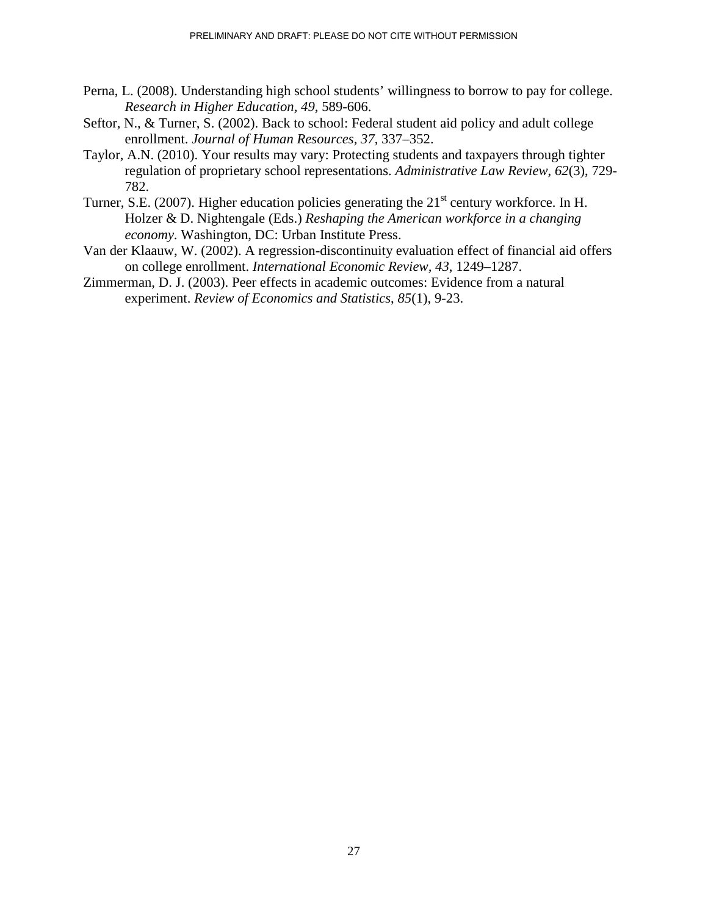- Perna, L. (2008). Understanding high school students' willingness to borrow to pay for college. *Research in Higher Education, 49*, 589-606.
- Seftor, N., & Turner, S. (2002). Back to school: Federal student aid policy and adult college enrollment. *Journal of Human Resources, 37*, 337–352.
- Taylor, A.N. (2010). Your results may vary: Protecting students and taxpayers through tighter regulation of proprietary school representations. *Administrative Law Review*, *62*(3), 729- 782.
- Turner, S.E. (2007). Higher education policies generating the  $21<sup>st</sup>$  century workforce. In H. Holzer & D. Nightengale (Eds.) *Reshaping the American workforce in a changing economy*. Washington, DC: Urban Institute Press.
- Van der Klaauw, W. (2002). A regression-discontinuity evaluation effect of financial aid offers on college enrollment. *International Economic Review, 43*, 1249–1287.
- Zimmerman, D. J. (2003). Peer effects in academic outcomes: Evidence from a natural experiment. *Review of Economics and Statistics*, *85*(1), 9-23.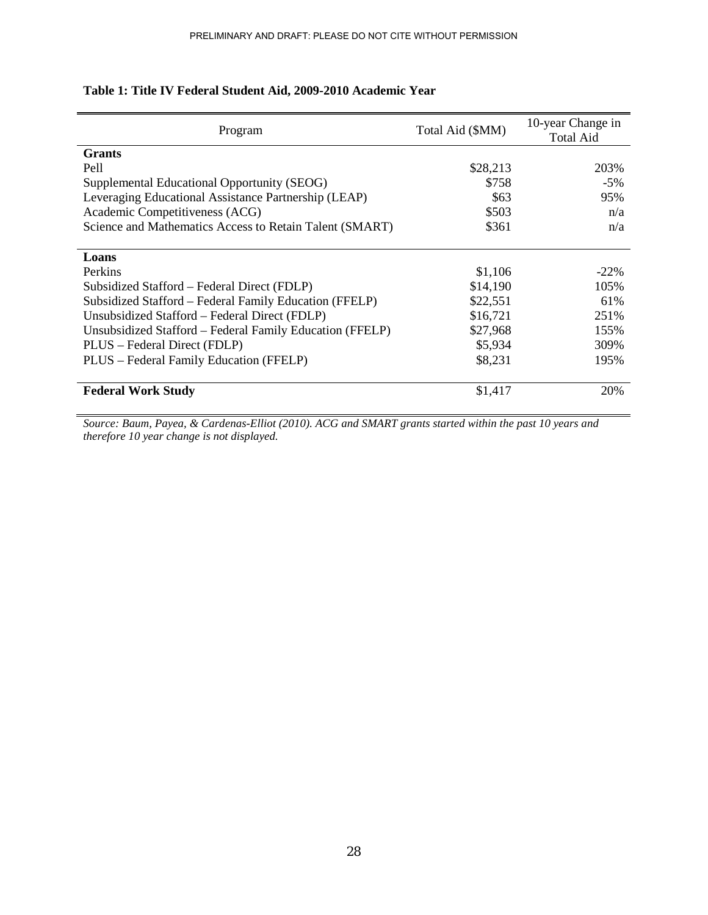| Program                                                  | Total Aid (\$MM) | 10-year Change in<br>Total Aid |
|----------------------------------------------------------|------------------|--------------------------------|
| <b>Grants</b>                                            |                  |                                |
| Pell                                                     | \$28,213         | 203%                           |
| Supplemental Educational Opportunity (SEOG)              | \$758            | $-5\%$                         |
| Leveraging Educational Assistance Partnership (LEAP)     | \$63             | 95%                            |
| Academic Competitiveness (ACG)                           | \$503            | n/a                            |
| Science and Mathematics Access to Retain Talent (SMART)  | \$361            | n/a                            |
|                                                          |                  |                                |
| Loans                                                    |                  |                                |
| Perkins                                                  | \$1,106          | $-22\%$                        |
| Subsidized Stafford – Federal Direct (FDLP)              | \$14,190         | 105%                           |
| Subsidized Stafford – Federal Family Education (FFELP)   | \$22,551         | 61%                            |
| Unsubsidized Stafford – Federal Direct (FDLP)            | \$16,721         | 251%                           |
| Unsubsidized Stafford - Federal Family Education (FFELP) | \$27,968         | 155%                           |
| PLUS – Federal Direct (FDLP)                             | \$5,934          | 309%                           |
| PLUS - Federal Family Education (FFELP)                  | \$8,231          | 195%                           |
|                                                          |                  |                                |
| <b>Federal Work Study</b>                                | \$1,417          | 20%                            |

# **Table 1: Title IV Federal Student Aid, 2009-2010 Academic Year**

*Source: Baum, Payea, & Cardenas-Elliot (2010). ACG and SMART grants started within the past 10 years and therefore 10 year change is not displayed.*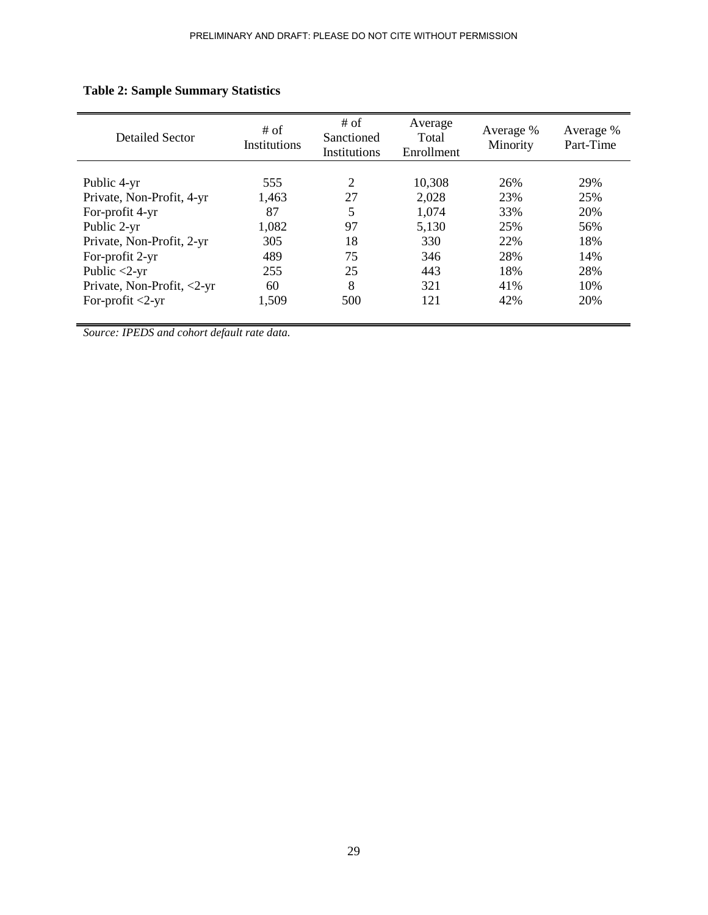| Detailed Sector            | # of<br>Institutions | # of<br>Sanctioned<br>Institutions | Average<br>Total<br>Enrollment | Average %<br>Minority | Average %<br>Part-Time |
|----------------------------|----------------------|------------------------------------|--------------------------------|-----------------------|------------------------|
|                            |                      |                                    |                                |                       |                        |
| Public 4-yr                | 555                  | 2                                  | 10,308                         | 26%                   | 29%                    |
| Private, Non-Profit, 4-yr  | 1,463                | 27                                 | 2,028                          | 23%                   | 25%                    |
| For-profit 4-yr            | 87                   | 5                                  | 1,074                          | 33%                   | 20%                    |
| Public 2-yr                | 1,082                | 97                                 | 5,130                          | 25%                   | 56%                    |
| Private, Non-Profit, 2-yr  | 305                  | 18                                 | 330                            | 22%                   | 18%                    |
| For-profit 2-yr            | 489                  | 75                                 | 346                            | 28%                   | 14%                    |
| Public $<$ 2-yr            | 255                  | 25                                 | 443                            | 18%                   | 28%                    |
| Private, Non-Profit, <2-yr | 60                   | 8                                  | 321                            | 41%                   | 10%                    |
| For-profit $<2$ -yr        | 1,509                | 500                                | 121                            | 42%                   | 20%                    |

# **Table 2: Sample Summary Statistics**

*Source: IPEDS and cohort default rate data.*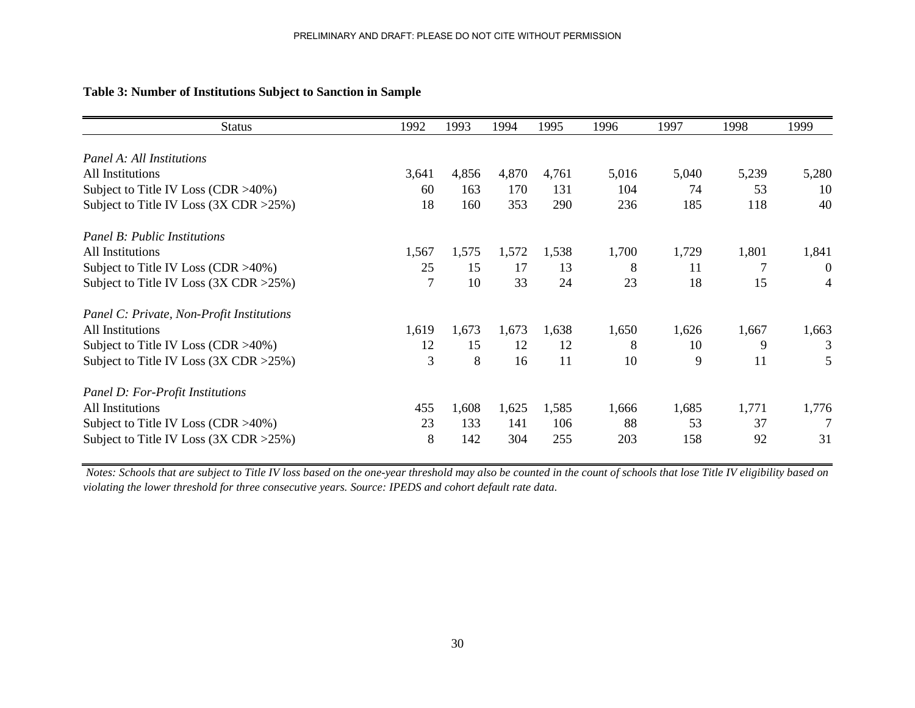| <b>Status</b>                                      | 1992  | 1993  | 1994  | 1995  | 1996  | 1997  | 1998  | 1999           |
|----------------------------------------------------|-------|-------|-------|-------|-------|-------|-------|----------------|
| Panel A: All Institutions                          |       |       |       |       |       |       |       |                |
| All Institutions                                   | 3,641 | 4,856 | 4,870 | 4,761 | 5,016 | 5,040 | 5,239 | 5,280          |
| Subject to Title IV Loss (CDR $>40\%$ )            | 60    | 163   | 170   | 131   | 104   | 74    | 53    | 10             |
| Subject to Title IV Loss $(3X \text{ CDR} > 25\%)$ | 18    | 160   | 353   | 290   | 236   | 185   | 118   | 40             |
| <b>Panel B: Public Institutions</b>                |       |       |       |       |       |       |       |                |
| All Institutions                                   | 1,567 | 1,575 | 1,572 | 1,538 | 1,700 | 1,729 | 1,801 | 1,841          |
| Subject to Title IV Loss (CDR $>40\%$ )            | 25    | 15    | 17    | 13    | 8     | 11    | 7     | $\overline{0}$ |
| Subject to Title IV Loss (3X CDR > 25%)            | 7     | 10    | 33    | 24    | 23    | 18    | 15    | 4              |
| Panel C: Private, Non-Profit Institutions          |       |       |       |       |       |       |       |                |
| All Institutions                                   | 1,619 | 1,673 | 1,673 | 1,638 | 1,650 | 1,626 | 1,667 | 1,663          |
| Subject to Title IV Loss (CDR >40%)                | 12    | 15    | 12    | 12    | 8     | 10    | 9     | 3              |
| Subject to Title IV Loss (3X CDR > 25%)            | 3     | 8     | 16    | 11    | 10    | 9     | 11    | 5              |
| Panel D: For-Profit Institutions                   |       |       |       |       |       |       |       |                |
| All Institutions                                   | 455   | 1,608 | 1,625 | 1,585 | 1,666 | 1,685 | 1,771 | 1,776          |
| Subject to Title IV Loss (CDR $>40\%$ )            | 23    | 133   | 141   | 106   | 88    | 53    | 37    |                |
| Subject to Title IV Loss $(3X \text{ CDR} > 25\%)$ | 8     | 142   | 304   | 255   | 203   | 158   | 92    | 31             |

### **Table 3: Number of Institutions Subject to Sanction in Sample**

*Notes: Schools that are subject to Title IV loss based on the one-year threshold may also be counted in the count of schools that lose Title IV eligibility based on violating the lower threshold for three consecutive years. Source: IPEDS and cohort default rate data.*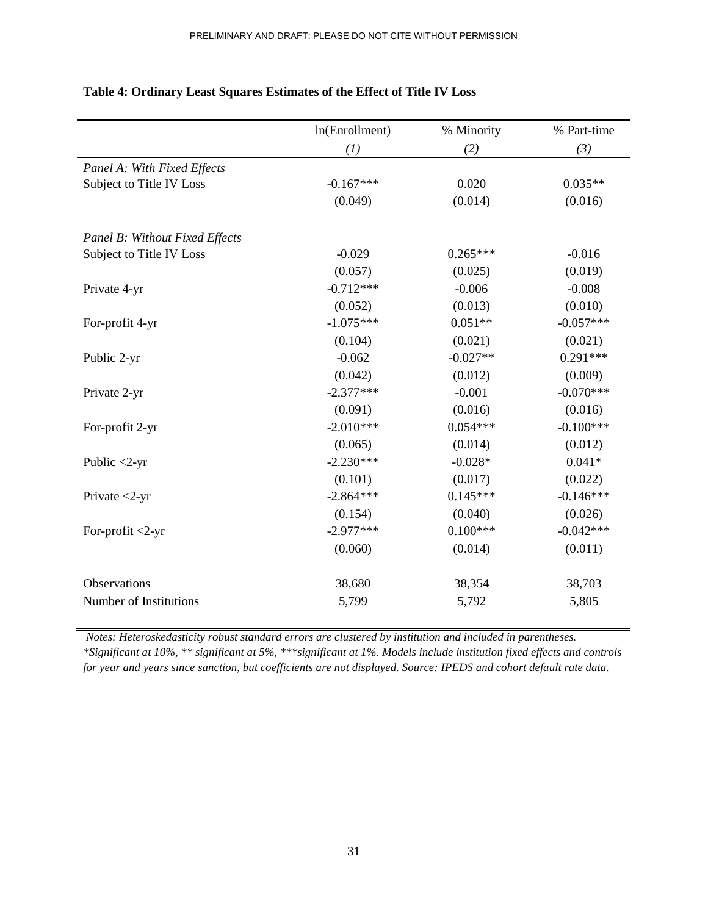|                                | ln(Enrollment) | % Minority | % Part-time |
|--------------------------------|----------------|------------|-------------|
|                                | (1)            | (2)        | (3)         |
| Panel A: With Fixed Effects    |                |            |             |
| Subject to Title IV Loss       | $-0.167***$    | 0.020      | $0.035**$   |
|                                | (0.049)        | (0.014)    | (0.016)     |
|                                |                |            |             |
| Panel B: Without Fixed Effects | $-0.029$       |            |             |
| Subject to Title IV Loss       |                | $0.265***$ | $-0.016$    |
|                                | (0.057)        | (0.025)    | (0.019)     |
| Private 4-yr                   | $-0.712***$    | $-0.006$   | $-0.008$    |
|                                | (0.052)        | (0.013)    | (0.010)     |
| For-profit 4-yr                | $-1.075***$    | $0.051**$  | $-0.057***$ |
|                                | (0.104)        | (0.021)    | (0.021)     |
| Public 2-yr                    | $-0.062$       | $-0.027**$ | $0.291***$  |
|                                | (0.042)        | (0.012)    | (0.009)     |
| Private 2-yr                   | $-2.377***$    | $-0.001$   | $-0.070***$ |
|                                | (0.091)        | (0.016)    | (0.016)     |
| For-profit 2-yr                | $-2.010***$    | $0.054***$ | $-0.100***$ |
|                                | (0.065)        | (0.014)    | (0.012)     |
| Public $<$ 2-yr                | $-2.230***$    | $-0.028*$  | $0.041*$    |
|                                | (0.101)        | (0.017)    | (0.022)     |
| Private $<$ 2-yr               | $-2.864***$    | $0.145***$ | $-0.146***$ |
|                                | (0.154)        | (0.040)    | (0.026)     |
| For-profit <2-yr               | $-2.977***$    | $0.100***$ | $-0.042***$ |
|                                | (0.060)        | (0.014)    | (0.011)     |
| Observations                   | 38,680         | 38,354     | 38,703      |
| Number of Institutions         | 5,799          | 5,792      | 5,805       |
|                                |                |            |             |

### **Table 4: Ordinary Least Squares Estimates of the Effect of Title IV Loss**

*Notes: Heteroskedasticity robust standard errors are clustered by institution and included in parentheses. \*Significant at 10%, \*\* significant at 5%, \*\*\*significant at 1%. Models include institution fixed effects and controls for year and years since sanction, but coefficients are not displayed. Source: IPEDS and cohort default rate data.*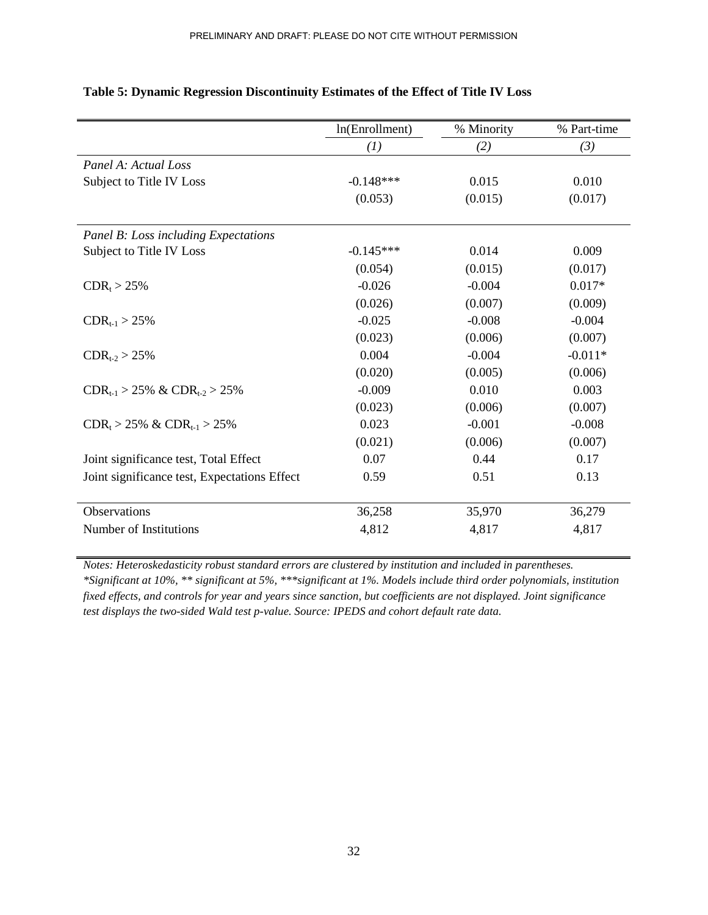|                                              | ln(Enrollment) | % Minority | % Part-time |
|----------------------------------------------|----------------|------------|-------------|
|                                              | (I)            | (2)        | (3)         |
| Panel A: Actual Loss                         |                |            |             |
| Subject to Title IV Loss                     | $-0.148***$    | 0.015      | 0.010       |
|                                              | (0.053)        | (0.015)    | (0.017)     |
| Panel B: Loss including Expectations         |                |            |             |
| Subject to Title IV Loss                     | $-0.145***$    | 0.014      | 0.009       |
|                                              | (0.054)        | (0.015)    | (0.017)     |
| $CDR_t > 25%$                                | $-0.026$       | $-0.004$   | $0.017*$    |
|                                              | (0.026)        | (0.007)    | (0.009)     |
| $CDR_{t-1} > 25\%$                           | $-0.025$       | $-0.008$   | $-0.004$    |
|                                              | (0.023)        | (0.006)    | (0.007)     |
| $CDR_{t-2} > 25\%$                           | 0.004          | $-0.004$   | $-0.011*$   |
|                                              | (0.020)        | (0.005)    | (0.006)     |
| $CDR_{t-1}$ > 25% & $CDR_{t-2}$ > 25%        | $-0.009$       | 0.010      | 0.003       |
|                                              | (0.023)        | (0.006)    | (0.007)     |
| $CDR_t > 25\% \& CDR_{t-1} > 25\%$           | 0.023          | $-0.001$   | $-0.008$    |
|                                              | (0.021)        | (0.006)    | (0.007)     |
| Joint significance test, Total Effect        | 0.07           | 0.44       | 0.17        |
| Joint significance test, Expectations Effect | 0.59           | 0.51       | 0.13        |
| Observations                                 | 36,258         | 35,970     | 36,279      |
| Number of Institutions                       | 4,812          | 4,817      | 4,817       |

### **Table 5: Dynamic Regression Discontinuity Estimates of the Effect of Title IV Loss**

*Notes: Heteroskedasticity robust standard errors are clustered by institution and included in parentheses. \*Significant at 10%, \*\* significant at 5%, \*\*\*significant at 1%. Models include third order polynomials, institution fixed effects, and controls for year and years since sanction, but coefficients are not displayed. Joint significance test displays the two-sided Wald test p-value. Source: IPEDS and cohort default rate data.*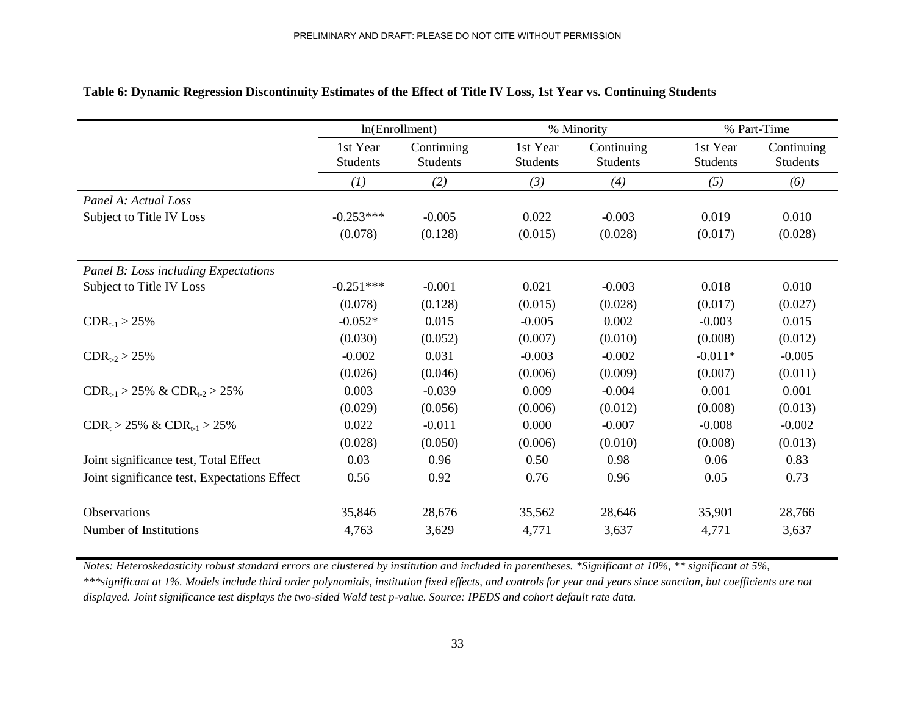|                                              |                             | ln(Enrollment)                |                             | % Minority                    | % Part-Time                 |                        |  |
|----------------------------------------------|-----------------------------|-------------------------------|-----------------------------|-------------------------------|-----------------------------|------------------------|--|
|                                              | 1st Year<br><b>Students</b> | Continuing<br><b>Students</b> | 1st Year<br><b>Students</b> | Continuing<br><b>Students</b> | 1st Year<br><b>Students</b> | Continuing<br>Students |  |
|                                              | (1)                         | (2)                           | (3)                         | (4)                           | (5)                         | (6)                    |  |
| Panel A: Actual Loss                         |                             |                               |                             |                               |                             |                        |  |
| Subject to Title IV Loss                     | $-0.253***$                 | $-0.005$                      | 0.022                       | $-0.003$                      | 0.019                       | 0.010                  |  |
|                                              | (0.078)                     | (0.128)                       | (0.015)                     | (0.028)                       | (0.017)                     | (0.028)                |  |
| Panel B: Loss including Expectations         |                             |                               |                             |                               |                             |                        |  |
| Subject to Title IV Loss                     | $-0.251***$                 | $-0.001$                      | 0.021                       | $-0.003$                      | 0.018                       | 0.010                  |  |
|                                              | (0.078)                     | (0.128)                       | (0.015)                     | (0.028)                       | (0.017)                     | (0.027)                |  |
| $CDR_{t-1} > 25\%$                           | $-0.052*$                   | 0.015                         | $-0.005$                    | 0.002                         | $-0.003$                    | 0.015                  |  |
|                                              | (0.030)                     | (0.052)                       | (0.007)                     | (0.010)                       | (0.008)                     | (0.012)                |  |
| $CDR_{t-2} > 25\%$                           | $-0.002$                    | 0.031                         | $-0.003$                    | $-0.002$                      | $-0.011*$                   | $-0.005$               |  |
|                                              | (0.026)                     | (0.046)                       | (0.006)                     | (0.009)                       | (0.007)                     | (0.011)                |  |
| $CDR_{t-1} > 25\% \& CDR_{t-2} > 25\%$       | 0.003                       | $-0.039$                      | 0.009                       | $-0.004$                      | 0.001                       | 0.001                  |  |
|                                              | (0.029)                     | (0.056)                       | (0.006)                     | (0.012)                       | (0.008)                     | (0.013)                |  |
| $CDR_t > 25\% \& CDR_{t-1} > 25\%$           | 0.022                       | $-0.011$                      | 0.000                       | $-0.007$                      | $-0.008$                    | $-0.002$               |  |
|                                              | (0.028)                     | (0.050)                       | (0.006)                     | (0.010)                       | (0.008)                     | (0.013)                |  |
| Joint significance test, Total Effect        | 0.03                        | 0.96                          | 0.50                        | 0.98                          | 0.06                        | 0.83                   |  |
| Joint significance test, Expectations Effect | 0.56                        | 0.92                          | 0.76                        | 0.96                          | 0.05                        | 0.73                   |  |
| <b>Observations</b>                          | 35,846                      | 28,676                        | 35,562                      | 28,646                        | 35,901                      | 28,766                 |  |
| Number of Institutions                       | 4,763                       | 3,629                         | 4,771                       | 3,637                         | 4,771                       | 3,637                  |  |

### **Table 6: Dynamic Regression Discontinuity Estimates of the Effect of Title IV Loss, 1st Year vs. Continuing Students**

*Notes: Heteroskedasticity robust standard errors are clustered by institution and included in parentheses. \*Significant at 10%, \*\* significant at 5%, \*\*\*significant at 1%. Models include third order polynomials, institution fixed effects, and controls for year and years since sanction, but coefficients are not displayed. Joint significance test displays the two-sided Wald test p-value. Source: IPEDS and cohort default rate data.*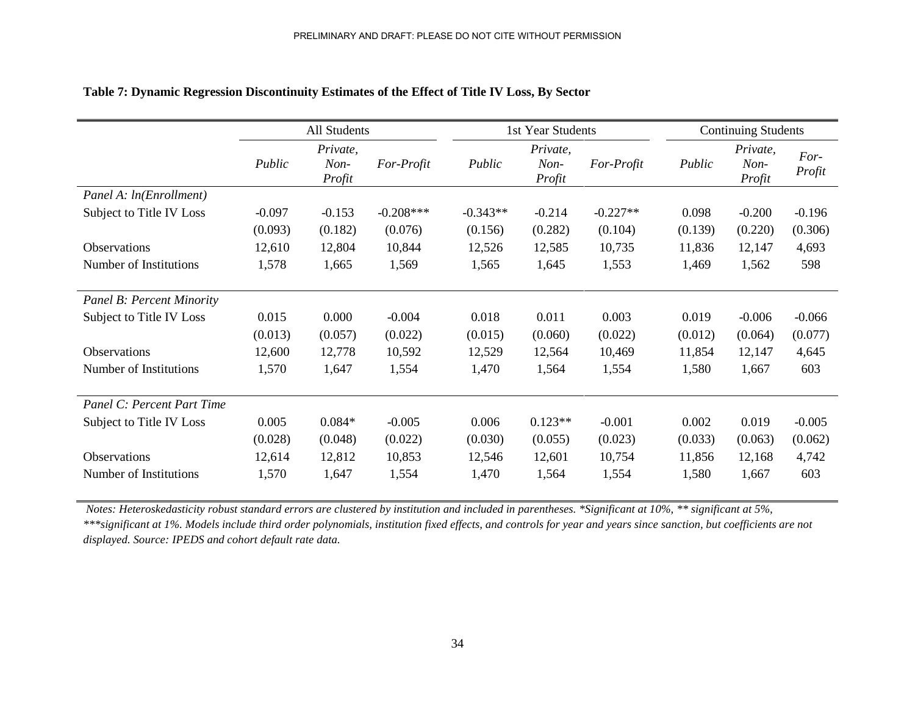|                                  |          | All Students                 |             | 1st Year Students |                              | <b>Continuing Students</b> |         |                              |                |
|----------------------------------|----------|------------------------------|-------------|-------------------|------------------------------|----------------------------|---------|------------------------------|----------------|
|                                  | Public   | Private,<br>$Non-$<br>Profit | For-Profit  | Public            | Private,<br>$Non-$<br>Profit | For-Profit                 | Public  | Private,<br>$Non-$<br>Profit | For-<br>Profit |
| Panel A: ln(Enrollment)          |          |                              |             |                   |                              |                            |         |                              |                |
| Subject to Title IV Loss         | $-0.097$ | $-0.153$                     | $-0.208***$ | $-0.343**$        | $-0.214$                     | $-0.227**$                 | 0.098   | $-0.200$                     | $-0.196$       |
|                                  | (0.093)  | (0.182)                      | (0.076)     | (0.156)           | (0.282)                      | (0.104)                    | (0.139) | (0.220)                      | (0.306)        |
| Observations                     | 12,610   | 12,804                       | 10,844      | 12,526            | 12,585                       | 10,735                     | 11,836  | 12,147                       | 4,693          |
| Number of Institutions           | 1,578    | 1,665                        | 1,569       | 1,565             | 1,645                        | 1,553                      | 1,469   | 1,562                        | 598            |
| <b>Panel B: Percent Minority</b> |          |                              |             |                   |                              |                            |         |                              |                |
| Subject to Title IV Loss         | 0.015    | 0.000                        | $-0.004$    | 0.018             | 0.011                        | 0.003                      | 0.019   | $-0.006$                     | $-0.066$       |
|                                  | (0.013)  | (0.057)                      | (0.022)     | (0.015)           | (0.060)                      | (0.022)                    | (0.012) | (0.064)                      | (0.077)        |
| Observations                     | 12,600   | 12,778                       | 10,592      | 12,529            | 12,564                       | 10,469                     | 11,854  | 12,147                       | 4,645          |
| Number of Institutions           | 1,570    | 1,647                        | 1,554       | 1,470             | 1,564                        | 1,554                      | 1,580   | 1,667                        | 603            |
| Panel C: Percent Part Time       |          |                              |             |                   |                              |                            |         |                              |                |
| Subject to Title IV Loss         | 0.005    | $0.084*$                     | $-0.005$    | 0.006             | $0.123**$                    | $-0.001$                   | 0.002   | 0.019                        | $-0.005$       |
|                                  | (0.028)  | (0.048)                      | (0.022)     | (0.030)           | (0.055)                      | (0.023)                    | (0.033) | (0.063)                      | (0.062)        |
| Observations                     | 12,614   | 12,812                       | 10,853      | 12,546            | 12,601                       | 10,754                     | 11,856  | 12,168                       | 4,742          |
| Number of Institutions           | 1,570    | 1,647                        | 1,554       | 1,470             | 1,564                        | 1,554                      | 1,580   | 1,667                        | 603            |

# **Table 7: Dynamic Regression Discontinuity Estimates of the Effect of Title IV Loss, By Sector**

*Notes: Heteroskedasticity robust standard errors are clustered by institution and included in parentheses. \*Significant at 10%, \*\* significant at 5%, \*\*\*significant at 1%. Models include third order polynomials, institution fixed effects, and controls for year and years since sanction, but coefficients are not displayed. Source: IPEDS and cohort default rate data.*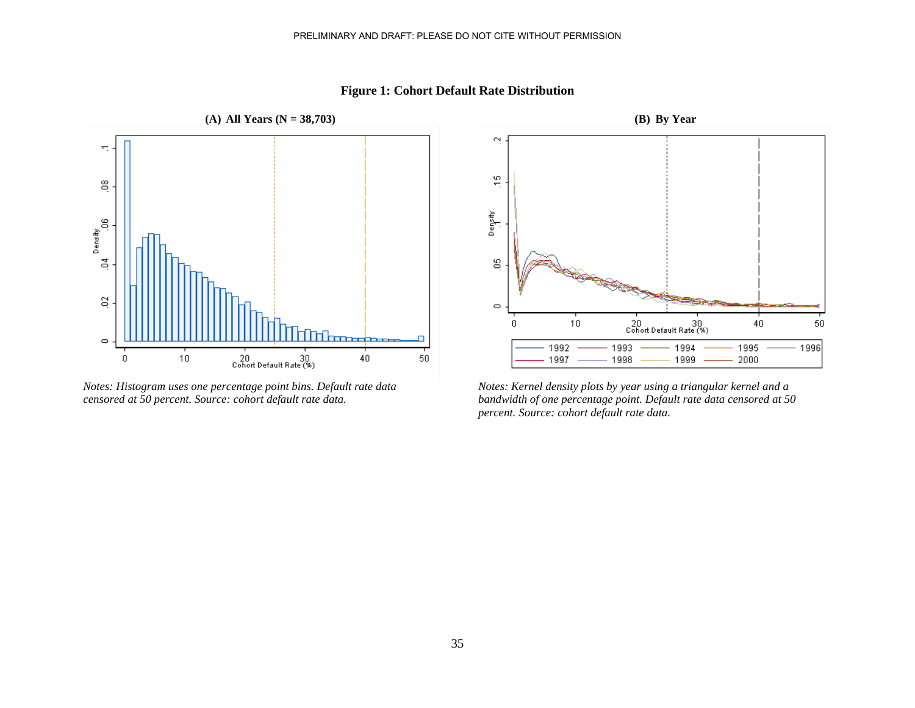

**Figure 1: Cohort Default Rate Distribution**

*Notes: Histogram uses one percentage point bins. Default rate data censored at 50 percent. Source: cohort default rate data.*



*Notes: Kernel density plots by year using a triangular kernel and a bandwidth of one percentage point. Default rate data censored at 50 percent. Source: cohort default rate data.*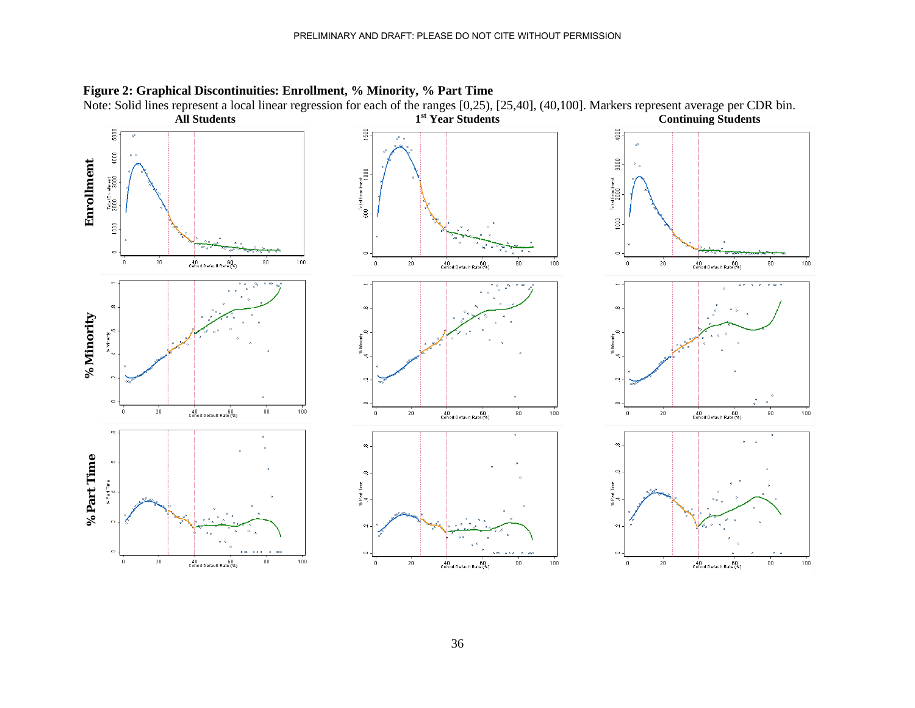

### **Figure 2: Graphical Discontinuities: Enrollment, % Minority, % Part Time**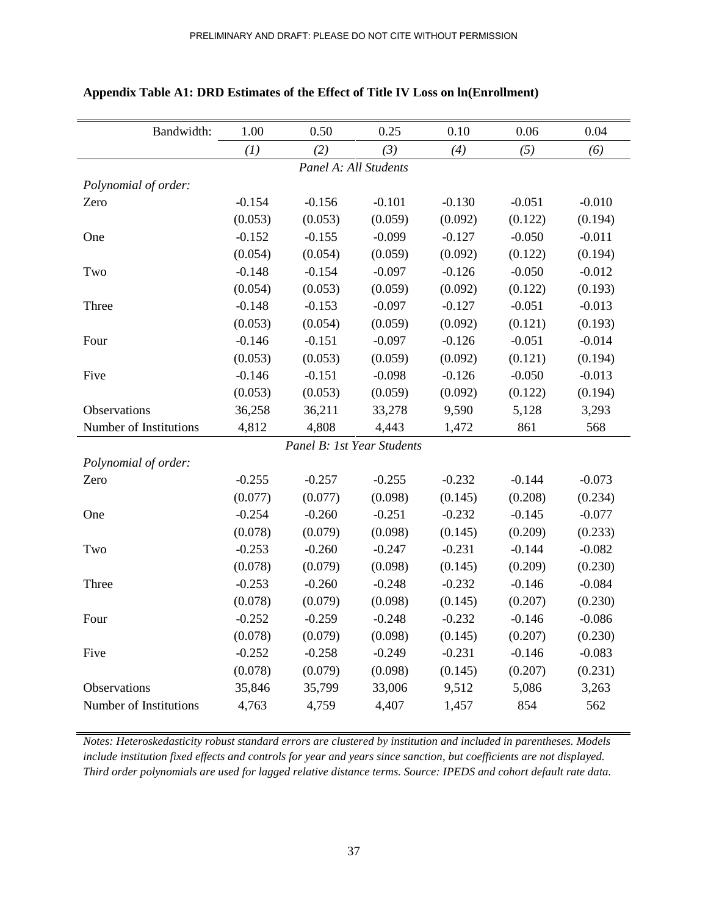| Bandwidth:             | 1.00     | 0.50                       | 0.25     | 0.10     | 0.06     | 0.04     |
|------------------------|----------|----------------------------|----------|----------|----------|----------|
|                        | (1)      | (2)                        | (3)      | (4)      | (5)      | (6)      |
|                        |          | Panel A: All Students      |          |          |          |          |
| Polynomial of order:   |          |                            |          |          |          |          |
| Zero                   | $-0.154$ | $-0.156$                   | $-0.101$ | $-0.130$ | $-0.051$ | $-0.010$ |
|                        | (0.053)  | (0.053)                    | (0.059)  | (0.092)  | (0.122)  | (0.194)  |
| One                    | $-0.152$ | $-0.155$                   | $-0.099$ | $-0.127$ | $-0.050$ | $-0.011$ |
|                        | (0.054)  | (0.054)                    | (0.059)  | (0.092)  | (0.122)  | (0.194)  |
| Two                    | $-0.148$ | $-0.154$                   | $-0.097$ | $-0.126$ | $-0.050$ | $-0.012$ |
|                        | (0.054)  | (0.053)                    | (0.059)  | (0.092)  | (0.122)  | (0.193)  |
| Three                  | $-0.148$ | $-0.153$                   | $-0.097$ | $-0.127$ | $-0.051$ | $-0.013$ |
|                        | (0.053)  | (0.054)                    | (0.059)  | (0.092)  | (0.121)  | (0.193)  |
| Four                   | $-0.146$ | $-0.151$                   | $-0.097$ | $-0.126$ | $-0.051$ | $-0.014$ |
|                        | (0.053)  | (0.053)                    | (0.059)  | (0.092)  | (0.121)  | (0.194)  |
| Five                   | $-0.146$ | $-0.151$                   | $-0.098$ | $-0.126$ | $-0.050$ | $-0.013$ |
|                        | (0.053)  | (0.053)                    | (0.059)  | (0.092)  | (0.122)  | (0.194)  |
| Observations           | 36,258   | 36,211                     | 33,278   | 9,590    | 5,128    | 3,293    |
| Number of Institutions | 4,812    | 4,808                      | 4,443    | 1,472    | 861      | 568      |
|                        |          | Panel B: 1st Year Students |          |          |          |          |
| Polynomial of order:   |          |                            |          |          |          |          |
| Zero                   | $-0.255$ | $-0.257$                   | $-0.255$ | $-0.232$ | $-0.144$ | $-0.073$ |
|                        | (0.077)  | (0.077)                    | (0.098)  | (0.145)  | (0.208)  | (0.234)  |
| One                    | $-0.254$ | $-0.260$                   | $-0.251$ | $-0.232$ | $-0.145$ | $-0.077$ |
|                        | (0.078)  | (0.079)                    | (0.098)  | (0.145)  | (0.209)  | (0.233)  |
| Two                    | $-0.253$ | $-0.260$                   | $-0.247$ | $-0.231$ | $-0.144$ | $-0.082$ |
|                        | (0.078)  | (0.079)                    | (0.098)  | (0.145)  | (0.209)  | (0.230)  |
| Three                  | $-0.253$ | $-0.260$                   | $-0.248$ | $-0.232$ | $-0.146$ | $-0.084$ |
|                        | (0.078)  | (0.079)                    | (0.098)  | (0.145)  | (0.207)  | (0.230)  |
| Four                   | $-0.252$ | $-0.259$                   | $-0.248$ | $-0.232$ | $-0.146$ | $-0.086$ |
|                        | (0.078)  | (0.079)                    | (0.098)  | (0.145)  | (0.207)  | (0.230)  |
| Five                   | $-0.252$ | $-0.258$                   | $-0.249$ | $-0.231$ | $-0.146$ | $-0.083$ |
|                        | (0.078)  | (0.079)                    | (0.098)  | (0.145)  | (0.207)  | (0.231)  |
| Observations           | 35,846   | 35,799                     | 33,006   | 9,512    | 5,086    | 3,263    |
| Number of Institutions | 4,763    | 4,759                      | 4,407    | 1,457    | 854      | 562      |

### **Appendix Table A1: DRD Estimates of the Effect of Title IV Loss on ln(Enrollment)**

*Notes: Heteroskedasticity robust standard errors are clustered by institution and included in parentheses. Models include institution fixed effects and controls for year and years since sanction, but coefficients are not displayed. Third order polynomials are used for lagged relative distance terms. Source: IPEDS and cohort default rate data.*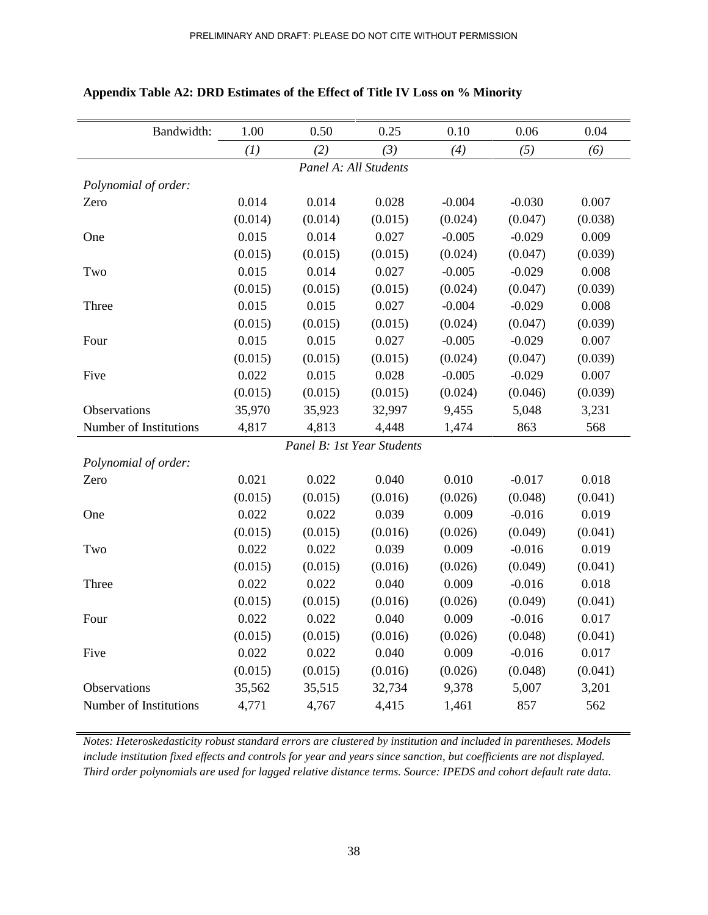| Bandwidth:             | 1.00    | 0.50                       | 0.25    | 0.10     | 0.06     | 0.04    |
|------------------------|---------|----------------------------|---------|----------|----------|---------|
|                        | (1)     | (2)                        | (3)     | (4)      | (5)      | (6)     |
|                        |         | Panel A: All Students      |         |          |          |         |
| Polynomial of order:   |         |                            |         |          |          |         |
| Zero                   | 0.014   | 0.014                      | 0.028   | $-0.004$ | $-0.030$ | 0.007   |
|                        | (0.014) | (0.014)                    | (0.015) | (0.024)  | (0.047)  | (0.038) |
| One                    | 0.015   | 0.014                      | 0.027   | $-0.005$ | $-0.029$ | 0.009   |
|                        | (0.015) | (0.015)                    | (0.015) | (0.024)  | (0.047)  | (0.039) |
| Two                    | 0.015   | 0.014                      | 0.027   | $-0.005$ | $-0.029$ | 0.008   |
|                        | (0.015) | (0.015)                    | (0.015) | (0.024)  | (0.047)  | (0.039) |
| Three                  | 0.015   | 0.015                      | 0.027   | $-0.004$ | $-0.029$ | 0.008   |
|                        | (0.015) | (0.015)                    | (0.015) | (0.024)  | (0.047)  | (0.039) |
| Four                   | 0.015   | 0.015                      | 0.027   | $-0.005$ | $-0.029$ | 0.007   |
|                        | (0.015) | (0.015)                    | (0.015) | (0.024)  | (0.047)  | (0.039) |
| Five                   | 0.022   | 0.015                      | 0.028   | $-0.005$ | $-0.029$ | 0.007   |
|                        | (0.015) | (0.015)                    | (0.015) | (0.024)  | (0.046)  | (0.039) |
| Observations           | 35,970  | 35,923                     | 32,997  | 9,455    | 5,048    | 3,231   |
| Number of Institutions | 4,817   | 4,813                      | 4,448   | 1,474    | 863      | 568     |
|                        |         | Panel B: 1st Year Students |         |          |          |         |
| Polynomial of order:   |         |                            |         |          |          |         |
| Zero                   | 0.021   | 0.022                      | 0.040   | 0.010    | $-0.017$ | 0.018   |
|                        | (0.015) | (0.015)                    | (0.016) | (0.026)  | (0.048)  | (0.041) |
| One                    | 0.022   | 0.022                      | 0.039   | 0.009    | $-0.016$ | 0.019   |
|                        | (0.015) | (0.015)                    | (0.016) | (0.026)  | (0.049)  | (0.041) |
| Two                    | 0.022   | 0.022                      | 0.039   | 0.009    | $-0.016$ | 0.019   |
|                        | (0.015) | (0.015)                    | (0.016) | (0.026)  | (0.049)  | (0.041) |
| Three                  | 0.022   | 0.022                      | 0.040   | 0.009    | $-0.016$ | 0.018   |
|                        | (0.015) | (0.015)                    | (0.016) | (0.026)  | (0.049)  | (0.041) |
| Four                   | 0.022   | 0.022                      | 0.040   | 0.009    | $-0.016$ | 0.017   |
|                        | (0.015) | (0.015)                    | (0.016) | (0.026)  | (0.048)  | (0.041) |
| Five                   | 0.022   | 0.022                      | 0.040   | 0.009    | $-0.016$ | 0.017   |
|                        | (0.015) | (0.015)                    | (0.016) | (0.026)  | (0.048)  | (0.041) |
| Observations           | 35,562  | 35,515                     | 32,734  | 9,378    | 5,007    | 3,201   |
| Number of Institutions | 4,771   | 4,767                      | 4,415   | 1,461    | 857      | 562     |

### **Appendix Table A2: DRD Estimates of the Effect of Title IV Loss on % Minority**

*Notes: Heteroskedasticity robust standard errors are clustered by institution and included in parentheses. Models include institution fixed effects and controls for year and years since sanction, but coefficients are not displayed. Third order polynomials are used for lagged relative distance terms. Source: IPEDS and cohort default rate data.*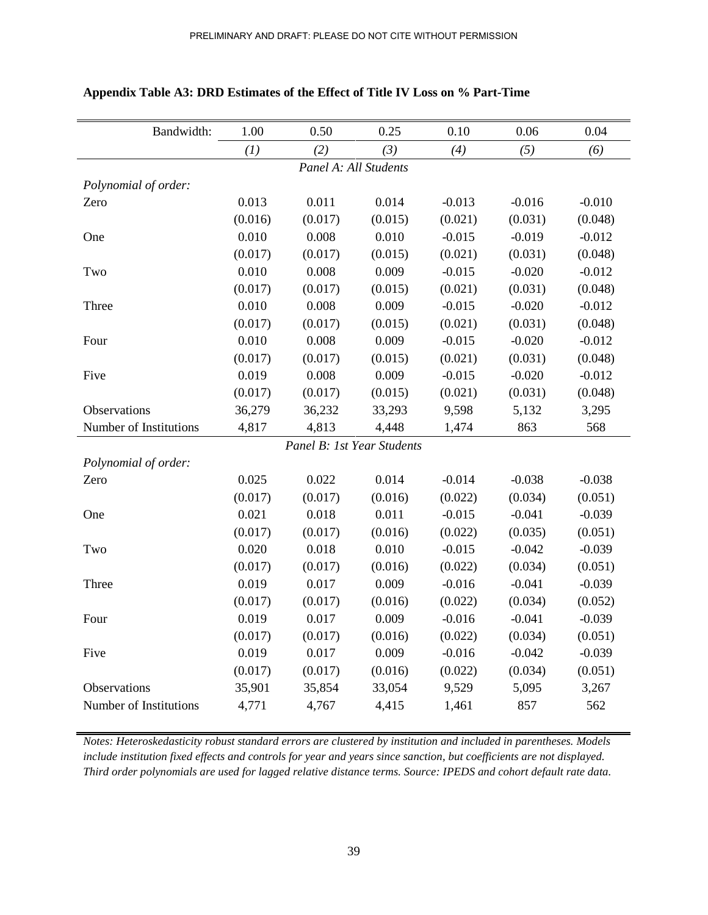| Bandwidth:             | 1.00    | 0.50                       | 0.25    | 0.10     | 0.06     | 0.04     |  |  |
|------------------------|---------|----------------------------|---------|----------|----------|----------|--|--|
|                        | (1)     | (2)                        | (3)     | (4)      | (5)      | (6)      |  |  |
| Panel A: All Students  |         |                            |         |          |          |          |  |  |
| Polynomial of order:   |         |                            |         |          |          |          |  |  |
| Zero                   | 0.013   | 0.011                      | 0.014   | $-0.013$ | $-0.016$ | $-0.010$ |  |  |
|                        | (0.016) | (0.017)                    | (0.015) | (0.021)  | (0.031)  | (0.048)  |  |  |
| One                    | 0.010   | 0.008                      | 0.010   | $-0.015$ | $-0.019$ | $-0.012$ |  |  |
|                        | (0.017) | (0.017)                    | (0.015) | (0.021)  | (0.031)  | (0.048)  |  |  |
| Two                    | 0.010   | 0.008                      | 0.009   | $-0.015$ | $-0.020$ | $-0.012$ |  |  |
|                        | (0.017) | (0.017)                    | (0.015) | (0.021)  | (0.031)  | (0.048)  |  |  |
| Three                  | 0.010   | 0.008                      | 0.009   | $-0.015$ | $-0.020$ | $-0.012$ |  |  |
|                        | (0.017) | (0.017)                    | (0.015) | (0.021)  | (0.031)  | (0.048)  |  |  |
| Four                   | 0.010   | 0.008                      | 0.009   | $-0.015$ | $-0.020$ | $-0.012$ |  |  |
|                        | (0.017) | (0.017)                    | (0.015) | (0.021)  | (0.031)  | (0.048)  |  |  |
| Five                   | 0.019   | 0.008                      | 0.009   | $-0.015$ | $-0.020$ | $-0.012$ |  |  |
|                        | (0.017) | (0.017)                    | (0.015) | (0.021)  | (0.031)  | (0.048)  |  |  |
| Observations           | 36,279  | 36,232                     | 33,293  | 9,598    | 5,132    | 3,295    |  |  |
| Number of Institutions | 4,817   | 4,813                      | 4,448   | 1,474    | 863      | 568      |  |  |
|                        |         | Panel B: 1st Year Students |         |          |          |          |  |  |
| Polynomial of order:   |         |                            |         |          |          |          |  |  |
| Zero                   | 0.025   | 0.022                      | 0.014   | $-0.014$ | $-0.038$ | $-0.038$ |  |  |
|                        | (0.017) | (0.017)                    | (0.016) | (0.022)  | (0.034)  | (0.051)  |  |  |
| One                    | 0.021   | 0.018                      | 0.011   | $-0.015$ | $-0.041$ | $-0.039$ |  |  |
|                        | (0.017) | (0.017)                    | (0.016) | (0.022)  | (0.035)  | (0.051)  |  |  |
| Two                    | 0.020   | 0.018                      | 0.010   | $-0.015$ | $-0.042$ | $-0.039$ |  |  |
|                        | (0.017) | (0.017)                    | (0.016) | (0.022)  | (0.034)  | (0.051)  |  |  |
| Three                  | 0.019   | 0.017                      | 0.009   | $-0.016$ | $-0.041$ | $-0.039$ |  |  |
|                        | (0.017) | (0.017)                    | (0.016) | (0.022)  | (0.034)  | (0.052)  |  |  |
| Four                   | 0.019   | 0.017                      | 0.009   | $-0.016$ | $-0.041$ | $-0.039$ |  |  |
|                        | (0.017) | (0.017)                    | (0.016) | (0.022)  | (0.034)  | (0.051)  |  |  |
| Five                   | 0.019   | 0.017                      | 0.009   | $-0.016$ | $-0.042$ | $-0.039$ |  |  |
|                        | (0.017) | (0.017)                    | (0.016) | (0.022)  | (0.034)  | (0.051)  |  |  |
| Observations           | 35,901  | 35,854                     | 33,054  | 9,529    | 5,095    | 3,267    |  |  |
| Number of Institutions | 4,771   | 4,767                      | 4,415   | 1,461    | 857      | 562      |  |  |

### **Appendix Table A3: DRD Estimates of the Effect of Title IV Loss on % Part-Time**

*Notes: Heteroskedasticity robust standard errors are clustered by institution and included in parentheses. Models include institution fixed effects and controls for year and years since sanction, but coefficients are not displayed. Third order polynomials are used for lagged relative distance terms. Source: IPEDS and cohort default rate data.*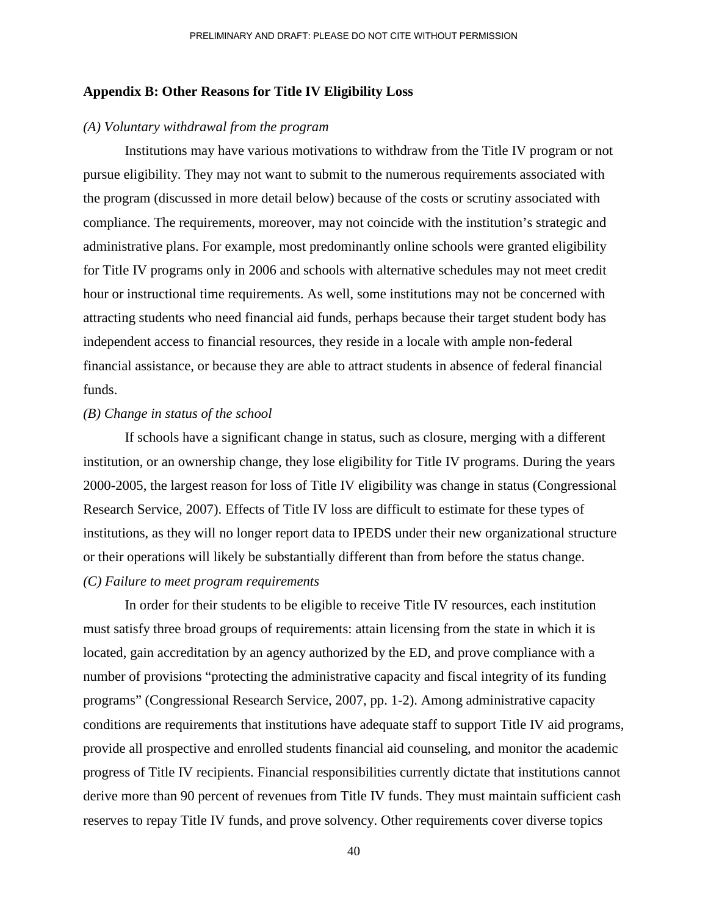### **Appendix B: Other Reasons for Title IV Eligibility Loss**

### *(A) Voluntary withdrawal from the program*

Institutions may have various motivations to withdraw from the Title IV program or not pursue eligibility. They may not want to submit to the numerous requirements associated with the program (discussed in more detail below) because of the costs or scrutiny associated with compliance. The requirements, moreover, may not coincide with the institution's strategic and administrative plans. For example, most predominantly online schools were granted eligibility for Title IV programs only in 2006 and schools with alternative schedules may not meet credit hour or instructional time requirements. As well, some institutions may not be concerned with attracting students who need financial aid funds, perhaps because their target student body has independent access to financial resources, they reside in a locale with ample non-federal financial assistance, or because they are able to attract students in absence of federal financial funds.

### *(B) Change in status of the school*

If schools have a significant change in status, such as closure, merging with a different institution, or an ownership change, they lose eligibility for Title IV programs. During the years 2000-2005, the largest reason for loss of Title IV eligibility was change in status (Congressional Research Service, 2007). Effects of Title IV loss are difficult to estimate for these types of institutions, as they will no longer report data to IPEDS under their new organizational structure or their operations will likely be substantially different than from before the status change. *(C) Failure to meet program requirements* 

# In order for their students to be eligible to receive Title IV resources, each institution must satisfy three broad groups of requirements: attain licensing from the state in which it is located, gain accreditation by an agency authorized by the ED, and prove compliance with a number of provisions "protecting the administrative capacity and fiscal integrity of its funding programs" (Congressional Research Service, 2007, pp. 1-2). Among administrative capacity conditions are requirements that institutions have adequate staff to support Title IV aid programs, provide all prospective and enrolled students financial aid counseling, and monitor the academic progress of Title IV recipients. Financial responsibilities currently dictate that institutions cannot derive more than 90 percent of revenues from Title IV funds. They must maintain sufficient cash reserves to repay Title IV funds, and prove solvency. Other requirements cover diverse topics